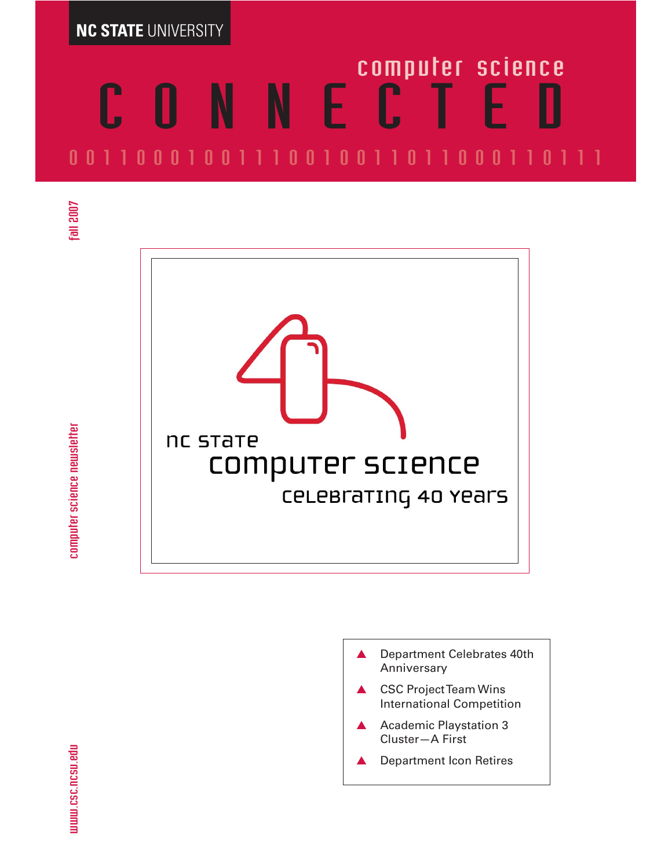**NC STATE** UNIVERSITY

# CONNECTED computer science 00110001001110010011011000110111



- ▲ Department Celebrates 40th Anniversary
- ▲ CSC Project Team Wins International Competition
- Academic Playstation 3 Cluster—A First
- **Department Icon Retires**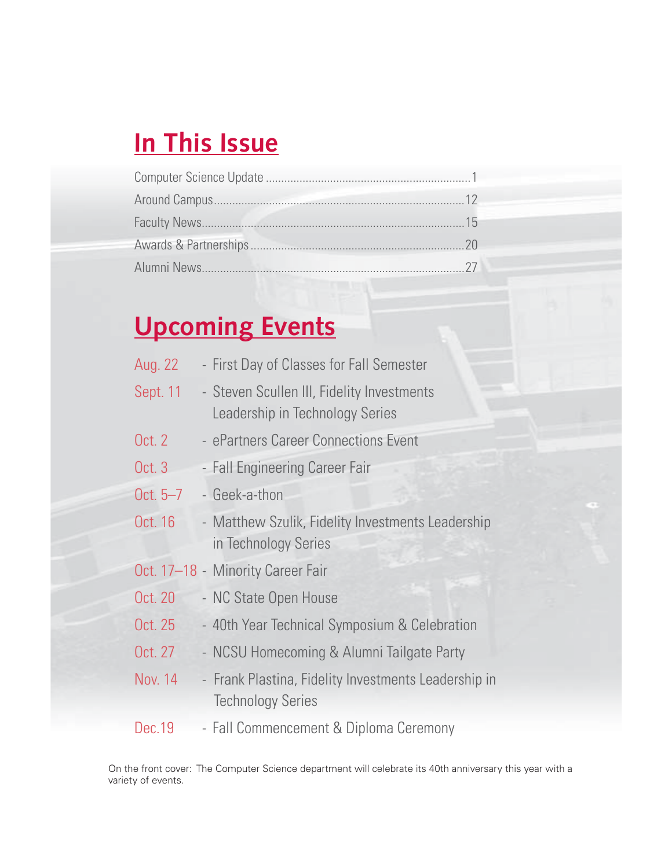# **In This Issue**

# **Upcoming Events**

| Aug. 22    | - First Day of Classes for Fall Semester                                         |
|------------|----------------------------------------------------------------------------------|
| Sept. 11   | - Steven Scullen III, Fidelity Investments<br>Leadership in Technology Series    |
| Oct. 2     | - ePartners Career Connections Event                                             |
| Oct. 3     | - Fall Engineering Career Fair                                                   |
| Oct. $5-7$ | - Geek-a-thon                                                                    |
| Oct. 16    | - Matthew Szulik, Fidelity Investments Leadership<br>in Technology Series        |
|            | Oct. 17-18 - Minority Career Fair                                                |
| Oct. 20    | - NC State Open House                                                            |
| Oct. 25    | - 40th Year Technical Symposium & Celebration                                    |
| Oct. 27    | - NCSU Homecoming & Alumni Tailgate Party                                        |
| Nov. 14    | - Frank Plastina, Fidelity Investments Leadership in<br><b>Technology Series</b> |
| Dec.19     | - Fall Commencement & Diploma Ceremony                                           |

On the front cover: The Computer Science department will celebrate its 40th anniversary this year with a variety of events.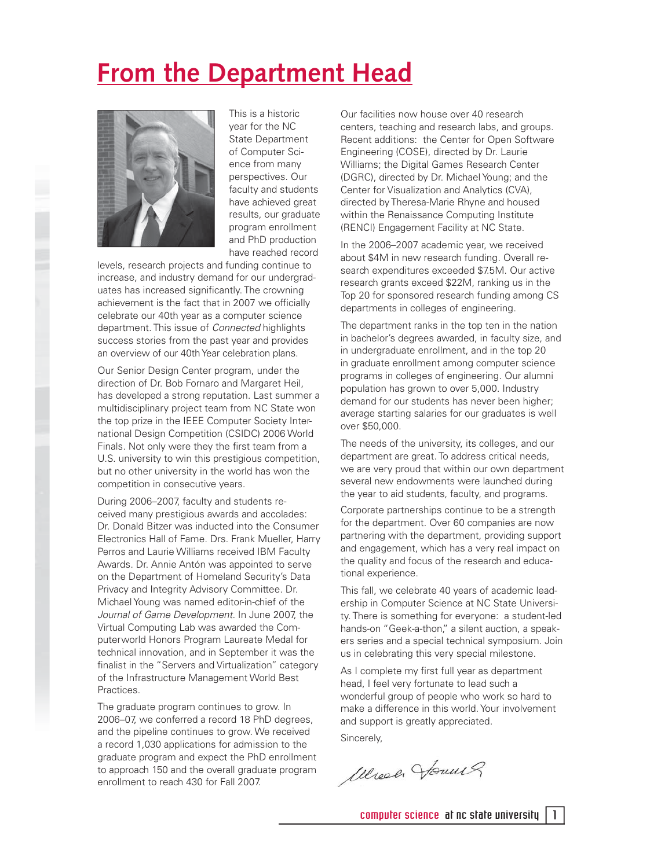# **From the Department Head**



This is a historic year for the NC State Department of Computer Science from many perspectives. Our faculty and students have achieved great results, our graduate program enrollment and PhD production have reached record

levels, research projects and funding continue to increase, and industry demand for our undergraduates has increased significantly. The crowning achievement is the fact that in 2007 we officially celebrate our 40th year as a computer science department. This issue of *Connected* highlights success stories from the past year and provides an overview of our 40th Year celebration plans.

Our Senior Design Center program, under the direction of Dr. Bob Fornaro and Margaret Heil, has developed a strong reputation. Last summer a multidisciplinary project team from NC State won the top prize in the IEEE Computer Society International Design Competition (CSIDC) 2006 World Finals. Not only were they the first team from a U.S. university to win this prestigious competition, but no other university in the world has won the competition in consecutive years.

During 2006–2007, faculty and students received many prestigious awards and accolades: Dr. Donald Bitzer was inducted into the Consumer Electronics Hall of Fame. Drs. Frank Mueller, Harry Perros and Laurie Williams received IBM Faculty Awards. Dr. Annie Antón was appointed to serve on the Department of Homeland Security's Data Privacy and Integrity Advisory Committee. Dr. Michael Young was named editor-in-chief of the Journal of Game Development. In June 2007, the Virtual Computing Lab was awarded the Computerworld Honors Program Laureate Medal for technical innovation, and in September it was the finalist in the "Servers and Virtualization" category of the Infrastructure Management World Best Practices.

The graduate program continues to grow. In 2006–07, we conferred a record 18 PhD degrees, and the pipeline continues to grow. We received a record 1,030 applications for admission to the graduate program and expect the PhD enrollment to approach 150 and the overall graduate program enrollment to reach 430 for Fall 2007.

Our facilities now house over 40 research centers, teaching and research labs, and groups. Recent additions: the Center for Open Software Engineering (COSE), directed by Dr. Laurie Williams; the Digital Games Research Center (DGRC), directed by Dr. Michael Young; and the Center for Visualization and Analytics (CVA), directed by Theresa-Marie Rhyne and housed within the Renaissance Computing Institute (RENCI) Engagement Facility at NC State.

In the 2006–2007 academic year, we received about \$4M in new research funding. Overall research expenditures exceeded \$7.5M. Our active research grants exceed \$22M, ranking us in the Top 20 for sponsored research funding among CS departments in colleges of engineering.

The department ranks in the top ten in the nation in bachelor's degrees awarded, in faculty size, and in undergraduate enrollment, and in the top 20 in graduate enrollment among computer science programs in colleges of engineering. Our alumni population has grown to over 5,000. Industry demand for our students has never been higher; average starting salaries for our graduates is well over \$50,000.

The needs of the university, its colleges, and our department are great. To address critical needs, we are very proud that within our own department several new endowments were launched during the year to aid students, faculty, and programs.

Corporate partnerships continue to be a strength for the department. Over 60 companies are now partnering with the department, providing support and engagement, which has a very real impact on the quality and focus of the research and educational experience.

This fall, we celebrate 40 years of academic leadership in Computer Science at NC State University. There is something for everyone: a student-led hands-on "Geek-a-thon," a silent auction, a speakers series and a special technical symposium. Join us in celebrating this very special milestone.

As I complete my first full year as department head, I feel very fortunate to lead such a wonderful group of people who work so hard to make a difference in this world. Your involvement and support is greatly appreciated. Sincerely,

Wheel Jours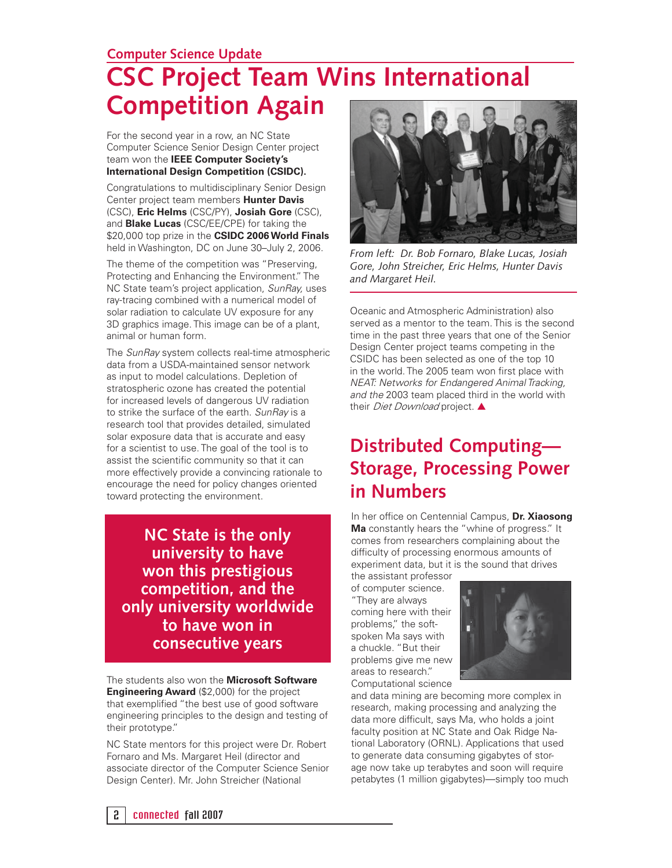#### **Computer Science Update**

# **CSC Project Team Wins International Competition Again**

For the second year in a row, an NC State Computer Science Senior Design Center project team won the **IEEE Computer Society's International Design Competition (CSIDC).**

Congratulations to multidisciplinary Senior Design Center project team members **Hunter Davis**  (CSC), **Eric Helms** (CSC/PY), **Josiah Gore** (CSC), and **Blake Lucas** (CSC/EE/CPE) for taking the \$20,000 top prize in the **CSIDC 2006 World Finals** held in Washington, DC on June 30–July 2, 2006.

The theme of the competition was "Preserving, Protecting and Enhancing the Environment." The NC State team's project application, SunRay, uses ray-tracing combined with a numerical model of solar radiation to calculate UV exposure for any 3D graphics image. This image can be of a plant, animal or human form.

The SunRay system collects real-time atmospheric data from a USDA-maintained sensor network as input to model calculations. Depletion of stratospheric ozone has created the potential for increased levels of dangerous UV radiation to strike the surface of the earth. SunRay is a research tool that provides detailed, simulated solar exposure data that is accurate and easy for a scientist to use. The goal of the tool is to assist the scientific community so that it can more effectively provide a convincing rationale to encourage the need for policy changes oriented toward protecting the environment.

**NC State is the only university to have won this prestigious competition, and the only university worldwide to have won in consecutive years**

The students also won the **Microsoft Software Engineering Award** (\$2,000) for the project that exemplified "the best use of good software engineering principles to the design and testing of their prototype."

NC State mentors for this project were Dr. Robert Fornaro and Ms. Margaret Heil (director and associate director of the Computer Science Senior Design Center). Mr. John Streicher (National



*From left: Dr. Bob Fornaro, Blake Lucas, Josiah Gore, John Streicher, Eric Helms, Hunter Davis and Margaret Heil.*

Oceanic and Atmospheric Administration) also served as a mentor to the team. This is the second time in the past three years that one of the Senior Design Center project teams competing in the CSIDC has been selected as one of the top 10 in the world. The 2005 team won first place with NEAT: Networks for Endangered Animal Tracking, and the 2003 team placed third in the world with their *Diet Download* project. ▲

### **Distributed Computing— Storage, Processing Power in Numbers**

In her office on Centennial Campus, Dr. Xiaosong **Ma** constantly hears the "whine of progress." It comes from researchers complaining about the difficulty of processing enormous amounts of experiment data, but it is the sound that drives the assistant professor

of computer science. "They are always coming here with their problems," the softspoken Ma says with a chuckle. "But their problems give me new areas to research." Computational science



and data mining are becoming more complex in research, making processing and analyzing the data more difficult, says Ma, who holds a joint faculty position at NC State and Oak Ridge National Laboratory (ORNL). Applications that used to generate data consuming gigabytes of storage now take up terabytes and soon will require petabytes (1 million gigabytes)—simply too much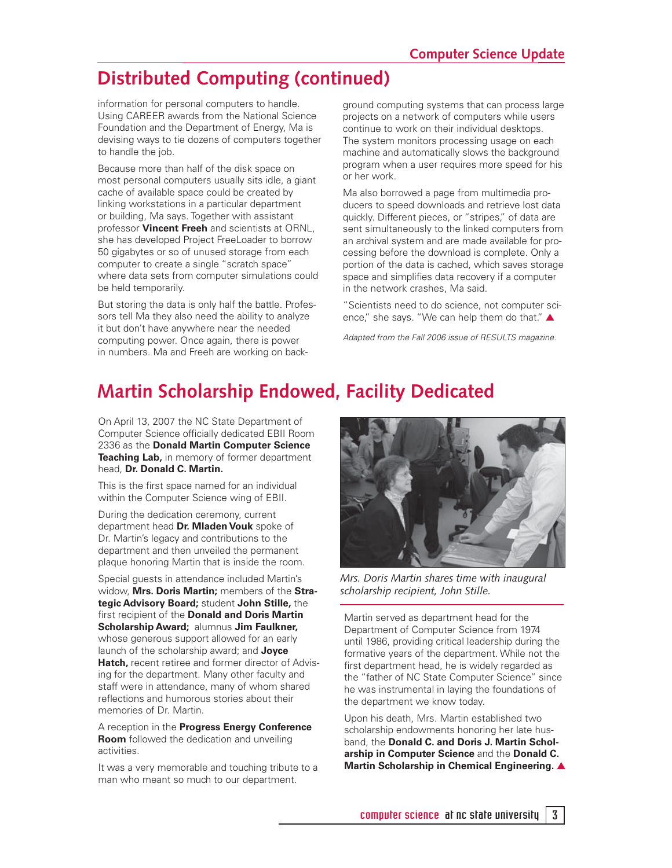### **Distributed Computing (continued)**

information for personal computers to handle. Using CAREER awards from the National Science Foundation and the Department of Energy, Ma is devising ways to tie dozens of computers together to handle the job.

Because more than half of the disk space on most personal computers usually sits idle, a giant cache of available space could be created by linking workstations in a particular department or building, Ma says. Together with assistant professor **Vincent Freeh** and scientists at ORNL, she has developed Project FreeLoader to borrow 50 gigabytes or so of unused storage from each computer to create a single "scratch space" where data sets from computer simulations could be held temporarily.

But storing the data is only half the battle. Professors tell Ma they also need the ability to analyze it but don't have anywhere near the needed computing power. Once again, there is power in numbers. Ma and Freeh are working on background computing systems that can process large projects on a network of computers while users continue to work on their individual desktops. The system monitors processing usage on each machine and automatically slows the background program when a user requires more speed for his or her work.

Ma also borrowed a page from multimedia producers to speed downloads and retrieve lost data quickly. Different pieces, or "stripes," of data are sent simultaneously to the linked computers from an archival system and are made available for processing before the download is complete. Only a portion of the data is cached, which saves storage space and simplifies data recovery if a computer in the network crashes, Ma said.

"Scientists need to do science, not computer science," she says. "We can help them do that." ▲

Adapted from the Fall 2006 issue of RESULTS magazine.

### **Martin Scholarship Endowed, Facility Dedicated**

On April 13, 2007 the NC State Department of Computer Science officially dedicated EBII Room 2336 as the **Donald Martin Computer Science Teaching Lab,** in memory of former department head, **Dr. Donald C. Martin.** 

This is the first space named for an individual within the Computer Science wing of EBII.

During the dedication ceremony, current department head **Dr. Mladen Vouk** spoke of Dr. Martin's legacy and contributions to the department and then unveiled the permanent plaque honoring Martin that is inside the room.

Special guests in attendance included Martin's widow, **Mrs. Doris Martin;** members of the **Strategic Advisory Board;** student **John Stille,** the first recipient of the **Donald and Doris Martin Scholarship Award;** alumnus **Jim Faulkner,**  whose generous support allowed for an early launch of the scholarship award; and **Joyce Hatch,** recent retiree and former director of Advising for the department. Many other faculty and staff were in attendance, many of whom shared reflections and humorous stories about their memories of Dr. Martin.

A reception in the **Progress Energy Conference Room** followed the dedication and unveiling activities.

It was a very memorable and touching tribute to a man who meant so much to our department.



*Mrs. Doris Martin shares time with inaugural scholarship recipient, John Stille.*

Martin served as department head for the Department of Computer Science from 1974 until 1986, providing critical leadership during the formative years of the department. While not the first department head, he is widely regarded as the "father of NC State Computer Science" since he was instrumental in laying the foundations of the department we know today.

Upon his death, Mrs. Martin established two scholarship endowments honoring her late husband, the **Donald C. and Doris J. Martin Scholarship in Computer Science** and the **Donald C. Martin Scholarship in Chemical Engineering.** ▲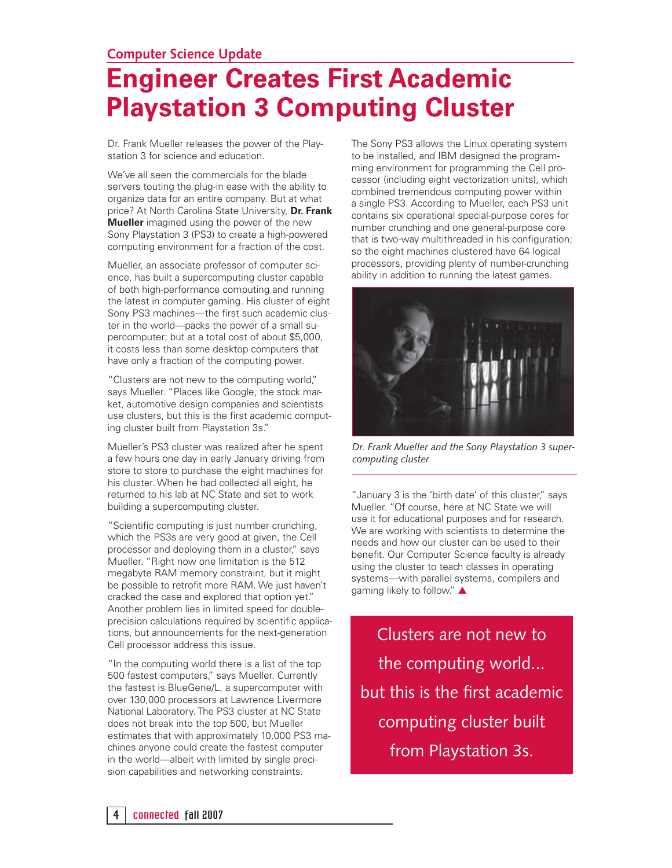#### **Computer Science Update**

# **Engineer Creates First Academic Playstation 3 Computing Cluster**

Dr. Frank Mueller releases the power of the Playstation 3 for science and education.

We've all seen the commercials for the blade servers touting the plug-in ease with the ability to organize data for an entire company. But at what price? At North Carolina State University, **Dr. Frank Mueller** imagined using the power of the new Sony Playstation 3 (PS3) to create a high-powered computing environment for a fraction of the cost.

Mueller, an associate professor of computer science, has built a supercomputing cluster capable of both high-performance computing and running the latest in computer gaming. His cluster of eight Sony PS3 machines—the first such academic cluster in the world—packs the power of a small supercomputer; but at a total cost of about \$5,000, it costs less than some desktop computers that have only a fraction of the computing power.

"Clusters are not new to the computing world," says Mueller. "Places like Google, the stock market, automotive design companies and scientists use clusters, but this is the first academic computing cluster built from Playstation 3s."

Mueller's PS3 cluster was realized after he spent a few hours one day in early January driving from store to store to purchase the eight machines for his cluster. When he had collected all eight, he returned to his lab at NC State and set to work building a supercomputing cluster.

"Scientific computing is just number crunching, which the PS3s are very good at given, the Cell processor and deploying them in a cluster," says Mueller. "Right now one limitation is the 512 megabyte RAM memory constraint, but it might be possible to retrofit more RAM. We just haven't cracked the case and explored that option yet." Another problem lies in limited speed for doubleprecision calculations required by scientific applications, but announcements for the next-generation Cell processor address this issue.

"In the computing world there is a list of the top 500 fastest computers," says Mueller. Currently the fastest is BlueGene/L, a supercomputer with over 130,000 processors at Lawrence Livermore National Laboratory. The PS3 cluster at NC State does not break into the top 500, but Mueller estimates that with approximately 10,000 PS3 machines anyone could create the fastest computer in the world—albeit with limited by single precision capabilities and networking constraints.

The Sony PS3 allows the Linux operating system to be installed, and IBM designed the programming environment for programming the Cell processor (including eight vectorization units), which combined tremendous computing power within a single PS3. According to Mueller, each PS3 unit contains six operational special-purpose cores for number crunching and one general-purpose core that is two-way multithreaded in his configuration; so the eight machines clustered have 64 logical processors, providing plenty of number-crunching ability in addition to running the latest games.



*Dr. Frank Mueller and the Sony Playstation 3 supercomputing cluster* 

"January 3 is the 'birth date' of this cluster," says Mueller. "Of course, here at NC State we will use it for educational purposes and for research. We are working with scientists to determine the needs and how our cluster can be used to their benefit. Our Computer Science faculty is already using the cluster to teach classes in operating systems—with parallel systems, compilers and gaming likely to follow." ▲

Clusters are not new to the computing world... but this is the first academic computing cluster built from Playstation 3s.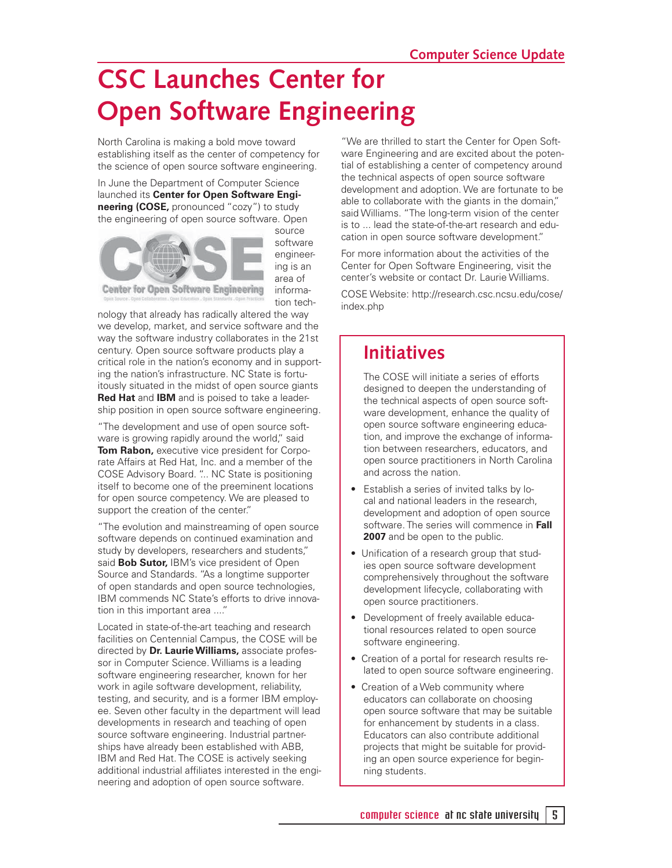# **CSC Launches Center for Open Software Engineering**

North Carolina is making a bold move toward establishing itself as the center of competency for the science of open source software engineering.

In June the Department of Computer Science launched its **Center for Open Software Engineering (COSE,** pronounced "cozy") to study the engineering of open source software. Open



source software engineering is an area of information tech-

**Center for Open Software Engineering** 

nology that already has radically altered the way we develop, market, and service software and the way the software industry collaborates in the 21st century. Open source software products play a critical role in the nation's economy and in supporting the nation's infrastructure. NC State is fortuitously situated in the midst of open source giants **Red Hat** and **IBM** and is poised to take a leadership position in open source software engineering.

"The development and use of open source software is growing rapidly around the world," said **Tom Rabon,** executive vice president for Corporate Affairs at Red Hat, Inc. and a member of the COSE Advisory Board. "... NC State is positioning itself to become one of the preeminent locations for open source competency. We are pleased to support the creation of the center."

"The evolution and mainstreaming of open source software depends on continued examination and study by developers, researchers and students," said **Bob Sutor,** IBM's vice president of Open Source and Standards. "As a longtime supporter of open standards and open source technologies, IBM commends NC State's efforts to drive innovation in this important area ...."

Located in state-of-the-art teaching and research facilities on Centennial Campus, the COSE will be directed by **Dr. Laurie Williams,** associate professor in Computer Science. Williams is a leading software engineering researcher, known for her work in agile software development, reliability, testing, and security, and is a former IBM employee. Seven other faculty in the department will lead developments in research and teaching of open source software engineering. Industrial partnerships have already been established with ABB, IBM and Red Hat. The COSE is actively seeking additional industrial affiliates interested in the engineering and adoption of open source software.

"We are thrilled to start the Center for Open Software Engineering and are excited about the potential of establishing a center of competency around the technical aspects of open source software development and adoption. We are fortunate to be able to collaborate with the giants in the domain," said Williams. "The long-term vision of the center is to ... lead the state-of-the-art research and education in open source software development."

For more information about the activities of the Center for Open Software Engineering, visit the center's website or contact Dr. Laurie Williams.

COSE Website: http://research.csc.ncsu.edu/cose/ index.php

### **Initiatives**

 The COSE will initiate a series of efforts designed to deepen the understanding of the technical aspects of open source software development, enhance the quality of open source software engineering education, and improve the exchange of information between researchers, educators, and open source practitioners in North Carolina and across the nation.

- Establish a series of invited talks by local and national leaders in the research, development and adoption of open source software. The series will commence in **Fall**  2007 and be open to the public.
- Unification of a research group that studies open source software development comprehensively throughout the software development lifecycle, collaborating with open source practitioners.
- Development of freely available educational resources related to open source software engineering.
- Creation of a portal for research results related to open source software engineering.
- Creation of a Web community where educators can collaborate on choosing open source software that may be suitable for enhancement by students in a class. Educators can also contribute additional projects that might be suitable for providing an open source experience for beginning students.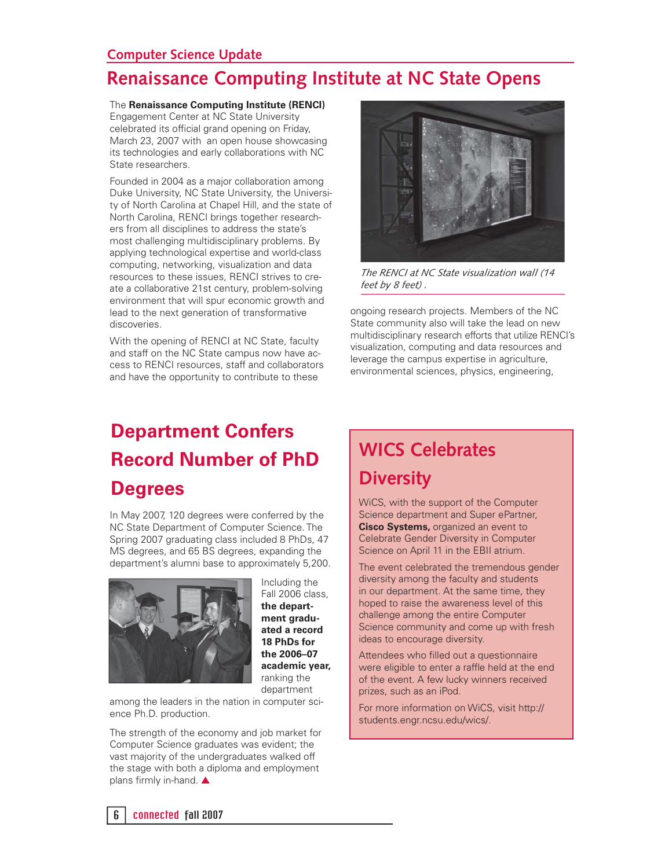#### **Computer Science Update**

State researchers.

### **Renaissance Computing Institute at NC State Opens**

The **Renaissance Computing Institute (RENCI)** Engagement Center at NC State University celebrated its official grand opening on Friday, March 23, 2007 with an open house showcasing its technologies and early collaborations with NC

Founded in 2004 as a major collaboration among Duke University, NC State University, the University of North Carolina at Chapel Hill, and the state of North Carolina, RENCI brings together researchers from all disciplines to address the state's most challenging multidisciplinary problems. By applying technological expertise and world-class computing, networking, visualization and data resources to these issues, RENCI strives to create a collaborative 21st century, problem-solving environment that will spur economic growth and lead to the next generation of transformative discoveries.

With the opening of RENCI at NC State, faculty and staff on the NC State campus now have access to RENCI resources, staff and collaborators and have the opportunity to contribute to these



*The RENCI at NC State visualization wall (14 feet by 8 feet) .* 

ongoing research projects. Members of the NC State community also will take the lead on new multidisciplinary research efforts that utilize RENCI's visualization, computing and data resources and leverage the campus expertise in agriculture, environmental sciences, physics, engineering,

# **Department Confers Record Number of PhD**

### **Degrees**

In May 2007, 120 degrees were conferred by the NC State Department of Computer Science. The Spring 2007 graduating class included 8 PhDs, 47 MS degrees, and 65 BS degrees, expanding the department's alumni base to approximately 5,200.



Including the Fall 2006 class, **the department graduated a record 18 PhDs for the 2006–07 academic year,** ranking the department

among the leaders in the nation in computer science Ph.D. production.

The strength of the economy and job market for Computer Science graduates was evident; the vast majority of the undergraduates walked off the stage with both a diploma and employment plans firmly in-hand.  $\blacktriangle$ 

## **WICS Celebrates Diversity**

WiCS, with the support of the Computer Science department and Super ePartner, **Cisco Systems,** organized an event to Celebrate Gender Diversity in Computer Science on April 11 in the EBII atrium.

The event celebrated the tremendous gender diversity among the faculty and students in our department. At the same time, they hoped to raise the awareness level of this challenge among the entire Computer Science community and come up with fresh ideas to encourage diversity.

Attendees who filled out a questionnaire were eligible to enter a raffle held at the end of the event. A few lucky winners received prizes, such as an iPod.

For more information on WiCS, visit http:// students.engr.ncsu.edu/wics/.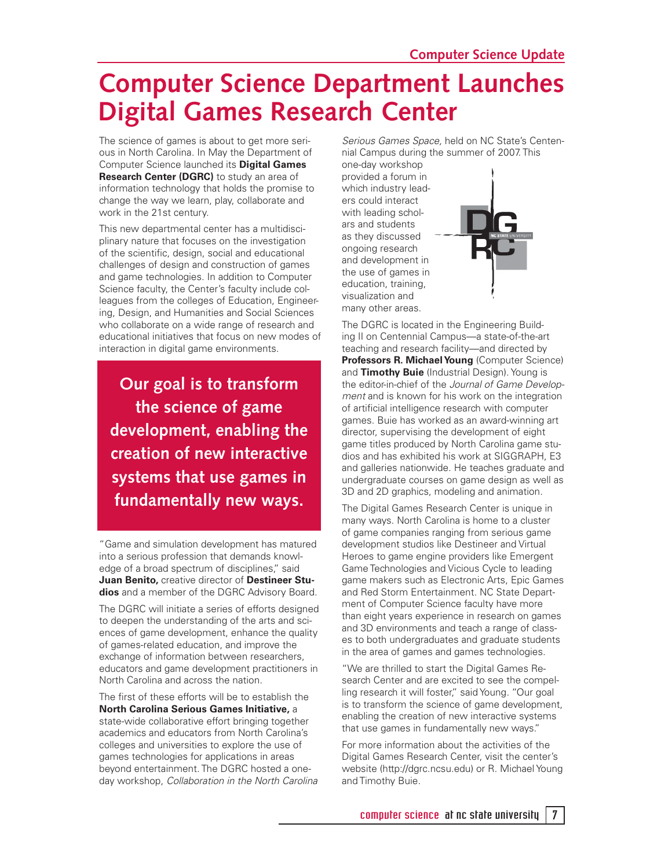## **Computer Science Department Launches Digital Games Research Center**

The science of games is about to get more serious in North Carolina. In May the Department of Computer Science launched its **Digital Games Research Center (DGRC)** to study an area of information technology that holds the promise to change the way we learn, play, collaborate and work in the 21st century.

This new departmental center has a multidisciplinary nature that focuses on the investigation of the scientific, design, social and educational challenges of design and construction of games and game technologies. In addition to Computer Science faculty, the Center's faculty include colleagues from the colleges of Education, Engineering, Design, and Humanities and Social Sciences who collaborate on a wide range of research and educational initiatives that focus on new modes of interaction in digital game environments.

**Our goal is to transform the science of game development, enabling the creation of new interactive systems that use games in fundamentally new ways.**

"Game and simulation development has matured into a serious profession that demands knowledge of a broad spectrum of disciplines," said **Juan Benito,** creative director of **Destineer Studios** and a member of the DGRC Advisory Board.

The DGRC will initiate a series of efforts designed to deepen the understanding of the arts and sciences of game development, enhance the quality of games-related education, and improve the exchange of information between researchers, educators and game development practitioners in North Carolina and across the nation.

The first of these efforts will be to establish the **North Carolina Serious Games Initiative,** a state-wide collaborative effort bringing together academics and educators from North Carolina's colleges and universities to explore the use of games technologies for applications in areas beyond entertainment. The DGRC hosted a oneday workshop, Collaboration in the North Carolina

Serious Games Space, held on NC State's Centennial Campus during the summer of 2007. This

one-day workshop provided a forum in which industry leaders could interact with leading scholars and students as they discussed ongoing research and development in the use of games in education, training, visualization and many other areas.



The DGRC is located in the Engineering Building II on Centennial Campus—a state-of-the-art teaching and research facility—and directed by **Professors R. Michael Young** (Computer Science) and **Timothy Buie** (Industrial Design). Young is the editor-in-chief of the Journal of Game Development and is known for his work on the integration of artificial intelligence research with computer games. Buie has worked as an award-winning art director, supervising the development of eight game titles produced by North Carolina game studios and has exhibited his work at SIGGRAPH, E3 and galleries nationwide. He teaches graduate and undergraduate courses on game design as well as 3D and 2D graphics, modeling and animation.

The Digital Games Research Center is unique in many ways. North Carolina is home to a cluster of game companies ranging from serious game development studios like Destineer and Virtual Heroes to game engine providers like Emergent Game Technologies and Vicious Cycle to leading game makers such as Electronic Arts, Epic Games and Red Storm Entertainment. NC State Department of Computer Science faculty have more than eight years experience in research on games and 3D environments and teach a range of classes to both undergraduates and graduate students in the area of games and games technologies.

"We are thrilled to start the Digital Games Research Center and are excited to see the compelling research it will foster," said Young. "Our goal is to transform the science of game development, enabling the creation of new interactive systems that use games in fundamentally new ways."

For more information about the activities of the Digital Games Research Center, visit the center's website (http://dgrc.ncsu.edu) or R. Michael Young and Timothy Buie.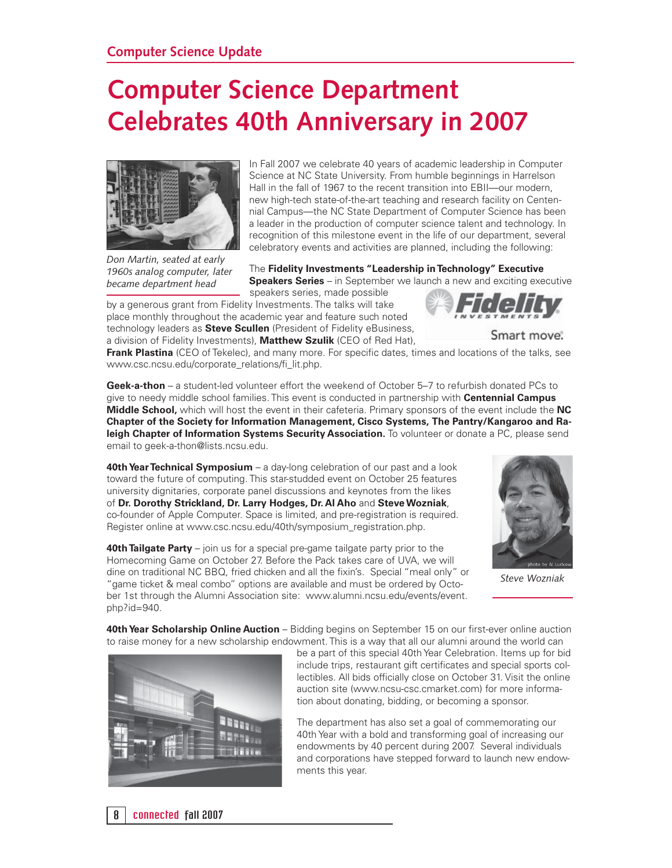# **Computer Science Department Celebrates 40th Anniversary in 2007**



In Fall 2007 we celebrate 40 years of academic leadership in Computer Science at NC State University. From humble beginnings in Harrelson Hall in the fall of 1967 to the recent transition into EBII—our modern, new high-tech state-of-the-art teaching and research facility on Centennial Campus—the NC State Department of Computer Science has been a leader in the production of computer science talent and technology. In recognition of this milestone event in the life of our department, several celebratory events and activities are planned, including the following:

*Don Martin, seated at early 1960s analog computer, later became department head*

The **Fidelity Investments "Leadership in Technology" Executive Speakers Series** – in September we launch a new and exciting executive speakers series, made possible

by a generous grant from Fidelity Investments. The talks will take place monthly throughout the academic year and feature such noted technology leaders as **Steve Scullen** (President of Fidelity eBusiness, a division of Fidelity Investments), **Matthew Szulik** (CEO of Red Hat),



**Frank Plastina** (CEO of Tekelec), and many more. For specific dates, times and locations of the talks, see www.csc.ncsu.edu/corporate\_relations/fi \_lit.php.

**Geek-a-thon** – a student-led volunteer effort the weekend of October 5–7 to refurbish donated PCs to give to needy middle school families. This event is conducted in partnership with **Centennial Campus Middle School,** which will host the event in their cafeteria. Primary sponsors of the event include the **NC Chapter of the Society for Information Management, Cisco Systems, The Pantry/Kangaroo and Raleigh Chapter of Information Systems Security Association.** To volunteer or donate a PC, please send email to geek-a-thon@lists.ncsu.edu.

**40th Year Technical Symposium** – a day-long celebration of our past and a look toward the future of computing. This star-studded event on October 25 features university dignitaries, corporate panel discussions and keynotes from the likes of **Dr. Dorothy Strickland, Dr. Larry Hodges, Dr. Al Aho** and **Steve Wozniak**, co-founder of Apple Computer. Space is limited, and pre-registration is required. Register online at www.csc.ncsu.edu/40th/symposium\_registration.php.

**40th Tailgate Party** – join us for a special pre-game tailgate party prior to the Homecoming Game on October 27. Before the Pack takes care of UVA, we will dine on traditional NC BBQ, fried chicken and all the fixin's. Special "meal only" or "game ticket & meal combo" options are available and must be ordered by October 1st through the Alumni Association site: www.alumni.ncsu.edu/events/event. php?id=940.



*Steve Wozniak*

**40th Year Scholarship Online Auction** – Bidding begins on September 15 on our first-ever online auction to raise money for a new scholarship endowment. This is a way that all our alumni around the world can



be a part of this special 40th Year Celebration. Items up for bid include trips, restaurant gift certificates and special sports collectibles. All bids officially close on October 31. Visit the online auction site (www.ncsu-csc.cmarket.com) for more information about donating, bidding, or becoming a sponsor.

The department has also set a goal of commemorating our 40th Year with a bold and transforming goal of increasing our endowments by 40 percent during 2007. Several individuals and corporations have stepped forward to launch new endowments this year.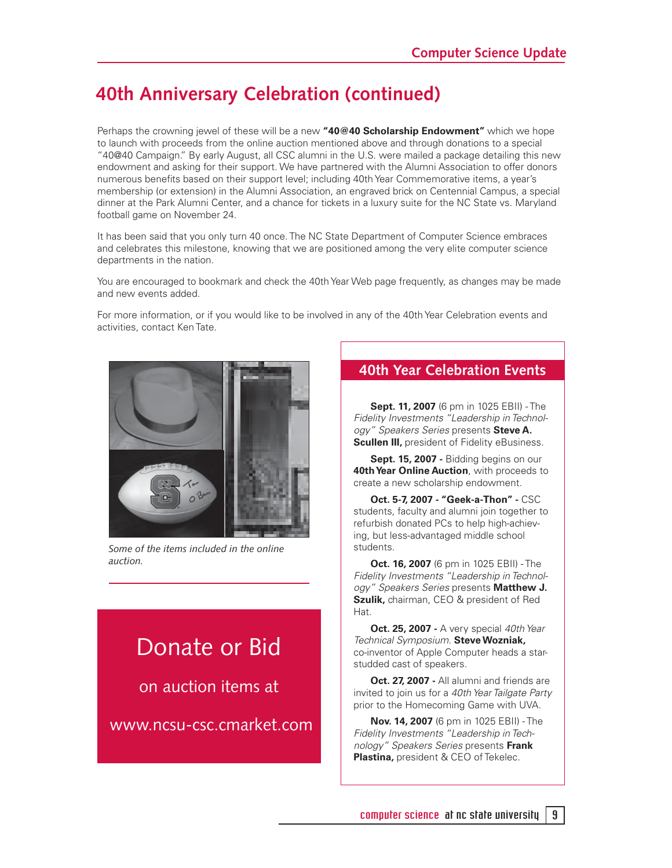### **40th Anniversary Celebration (continued)**

Perhaps the crowning jewel of these will be a new **"40@40 Scholarship Endowment"** which we hope to launch with proceeds from the online auction mentioned above and through donations to a special "40@40 Campaign." By early August, all CSC alumni in the U.S. were mailed a package detailing this new endowment and asking for their support. We have partnered with the Alumni Association to offer donors numerous benefits based on their support level; including 40th Year Commemorative items, a year's membership (or extension) in the Alumni Association, an engraved brick on Centennial Campus, a special dinner at the Park Alumni Center, and a chance for tickets in a luxury suite for the NC State vs. Maryland football game on November 24.

It has been said that you only turn 40 once. The NC State Department of Computer Science embraces and celebrates this milestone, knowing that we are positioned among the very elite computer science departments in the nation.

You are encouraged to bookmark and check the 40th Year Web page frequently, as changes may be made and new events added.

For more information, or if you would like to be involved in any of the 40th Year Celebration events and activities, contact Ken Tate.



*Some of the items included in the online auction.*

## Donate or Bid

on auction items at

www.ncsu-csc.cmarket.com

#### **40th Year Celebration Events**

**Sept. 11, 2007** (6 pm in 1025 EBII) - The Fidelity Investments "Leadership in Technology" Speakers Series presents **Steve A. Scullen III, president of Fidelity eBusiness.** 

**Sept. 15, 2007 -** Bidding begins on our **40th Year Online Auction**, with proceeds to create a new scholarship endowment.

**Oct. 5-7, 2007 - "Geek-a-Thon" -** CSC students, faculty and alumni join together to refurbish donated PCs to help high-achieving, but less-advantaged middle school students.

**Oct. 16, 2007** (6 pm in 1025 EBII) - The Fidelity Investments "Leadership in Technology" Speakers Series presents **Matthew J. Szulik,** chairman, CEO & president of Red Hat.

**Oct. 25, 2007 - A very special 40th Year** Technical Symposium. **Steve Wozniak,** co-inventor of Apple Computer heads a starstudded cast of speakers.

**Oct. 27, 2007 -** All alumni and friends are invited to join us for a 40th Year Tailgate Party prior to the Homecoming Game with UVA.

**Nov. 14, 2007** (6 pm in 1025 EBII) - The Fidelity Investments "Leadership in Technology" Speakers Series presents **Frank Plastina,** president & CEO of Tekelec.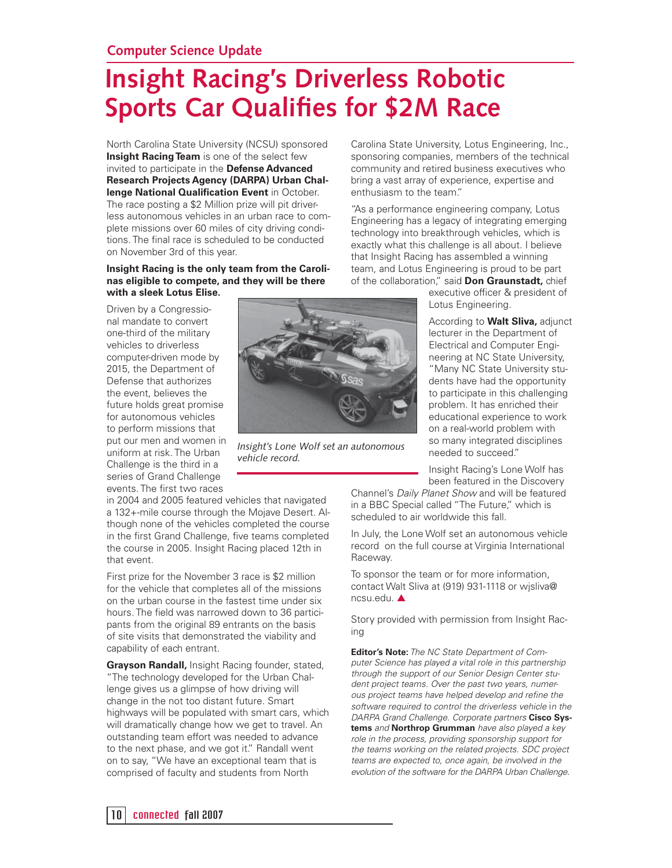# **Insight Racing's Driverless Robotic Sports Car Qualifies for \$2M Race**

North Carolina State University (NCSU) sponsored **Insight Racing Team** is one of the select few invited to participate in the **Defense Advanced Research Projects Agency (DARPA) Urban Chal**lenge National Qualification Event in October. The race posting a \$2 Million prize will pit driverless autonomous vehicles in an urban race to complete missions over 60 miles of city driving conditions. The final race is scheduled to be conducted on November 3rd of this year.

#### **Insight Racing is the only team from the Carolinas eligible to compete, and they will be there with a sleek Lotus Elise.**

Driven by a Congressional mandate to convert one-third of the military vehicles to driverless computer-driven mode by 2015, the Department of Defense that authorizes the event, believes the future holds great promise for autonomous vehicles to perform missions that put our men and women in uniform at risk. The Urban Challenge is the third in a series of Grand Challenge events. The first two races



*Insight's Lone Wolf set an autonomous vehicle record.*

in 2004 and 2005 featured vehicles that navigated a 132+-mile course through the Mojave Desert. Although none of the vehicles completed the course in the first Grand Challenge, five teams completed the course in 2005. Insight Racing placed 12th in that event.

First prize for the November 3 race is \$2 million for the vehicle that completes all of the missions on the urban course in the fastest time under six hours. The field was narrowed down to 36 participants from the original 89 entrants on the basis of site visits that demonstrated the viability and capability of each entrant.

**Grayson Randall,** Insight Racing founder, stated, "The technology developed for the Urban Challenge gives us a glimpse of how driving will change in the not too distant future. Smart highways will be populated with smart cars, which will dramatically change how we get to travel. An outstanding team effort was needed to advance to the next phase, and we got it." Randall went on to say, "We have an exceptional team that is comprised of faculty and students from North

Carolina State University, Lotus Engineering, Inc., sponsoring companies, members of the technical community and retired business executives who bring a vast array of experience, expertise and enthusiasm to the team."

"As a performance engineering company, Lotus Engineering has a legacy of integrating emerging technology into breakthrough vehicles, which is exactly what this challenge is all about. I believe that Insight Racing has assembled a winning team, and Lotus Engineering is proud to be part of the collaboration," said **Don Graunstadt,** chief

executive officer & president of Lotus Engineering.

According to **Walt Sliva,** adjunct lecturer in the Department of Electrical and Computer Engineering at NC State University, "Many NC State University students have had the opportunity to participate in this challenging problem. It has enriched their educational experience to work on a real-world problem with so many integrated disciplines needed to succeed."

Insight Racing's Lone Wolf has been featured in the Discovery

Channel's Daily Planet Show and will be featured in a BBC Special called "The Future," which is scheduled to air worldwide this fall.

In July, the Lone Wolf set an autonomous vehicle record on the full course at Virginia International Raceway.

To sponsor the team or for more information, contact Walt Sliva at (919) 931-1118 or wjsliva@ ncsu.edu. ▲

Story provided with permission from Insight Racing

**Editor's Note:** The NC State Department of Computer Science has played a vital role in this partnership through the support of our Senior Design Center student project teams. Over the past two years, numerous project teams have helped develop and refine the software required to control the driverless vehicle in the DARPA Grand Challenge. Corporate partners **Cisco Systems** and **Northrop Grumman** have also played a key role in the process, providing sponsorship support for the teams working on the related projects. SDC project teams are expected to, once again, be involved in the evolution of the software for the DARPA Urban Challenge.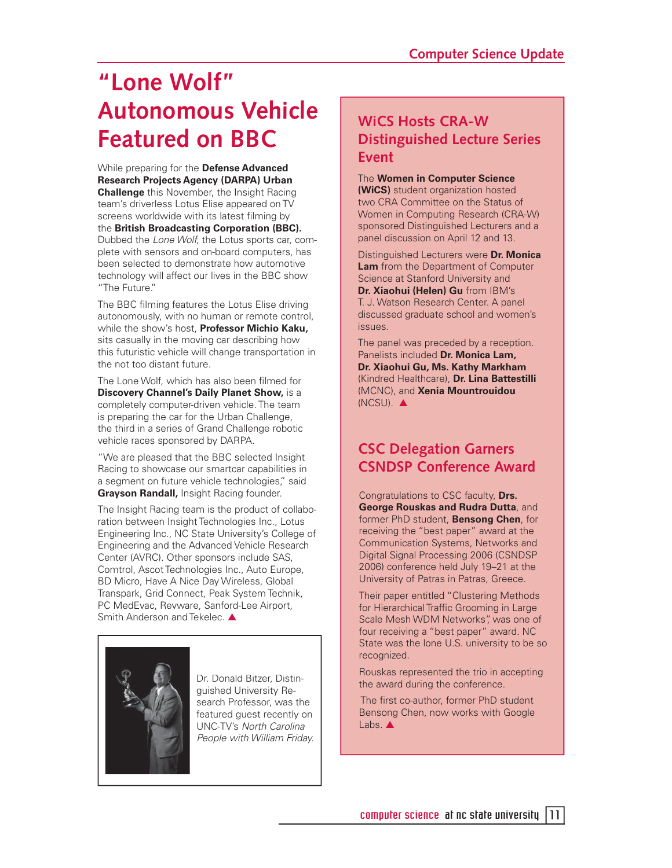# **"Lone Wolf" Autonomous Vehicle Featured on BBC**

While preparing for the **Defense Advanced Research Projects Agency (DARPA) Urban Challenge** this November, the Insight Racing team's driverless Lotus Elise appeared on TV screens worldwide with its latest filming by the **British Broadcasting Corporation (BBC).** Dubbed the Lone Wolf, the Lotus sports car, complete with sensors and on-board computers, has been selected to demonstrate how automotive technology will affect our lives in the BBC show "The Future."

The BBC filming features the Lotus Elise driving autonomously, with no human or remote control, while the show's host, **Professor Michio Kaku,**  sits casually in the moving car describing how this futuristic vehicle will change transportation in the not too distant future.

The Lone Wolf, which has also been filmed for **Discovery Channel's Daily Planet Show,** is a completely computer-driven vehicle. The team is preparing the car for the Urban Challenge, the third in a series of Grand Challenge robotic vehicle races sponsored by DARPA.

"We are pleased that the BBC selected Insight Racing to showcase our smartcar capabilities in a segment on future vehicle technologies," said **Grayson Randall,** Insight Racing founder.

The Insight Racing team is the product of collaboration between Insight Technologies Inc., Lotus Engineering Inc., NC State University's College of Engineering and the Advanced Vehicle Research Center (AVRC). Other sponsors include SAS, Comtrol, Ascot Technologies Inc., Auto Europe, BD Micro, Have A Nice Day Wireless, Global Transpark, Grid Connect, Peak System Technik, PC MedEvac, Revware, Sanford-Lee Airport, Smith Anderson and Tekelec. ▲



Dr. Donald Bitzer, Distinguished University Research Professor, was the featured guest recently on UNC-TV's North Carolina People with William Friday.

#### **WiCS Hosts CRA-W Distinguished Lecture Series Event**

#### The **Women in Computer Science**

**(WiCS)** student organization hosted two CRA Committee on the Status of Women in Computing Research (CRA-W) sponsored Distinguished Lecturers and a panel discussion on April 12 and 13.

Distinguished Lecturers were **Dr. Monica Lam** from the Department of Computer Science at Stanford University and **Dr. Xiaohui (Helen) Gu** from IBM's T. J. Watson Research Center. A panel discussed graduate school and women's issues.

The panel was preceded by a reception. Panelists included **Dr. Monica Lam, Dr. Xiaohui Gu, Ms. Kathy Markham**  (Kindred Healthcare), **Dr. Lina Battestilli** (MCNC), and **Xenia Mountrouidou**  (NCSU). ▲

#### **CSC Delegation Garners CSNDSP Conference Award**

Congratulations to CSC faculty, **Drs. George Rouskas and Rudra Dutta**, and former PhD student, **Bensong Chen**, for receiving the "best paper" award at the Communication Systems, Networks and Digital Signal Processing 2006 (CSNDSP 2006) conference held July 19–21 at the University of Patras in Patras, Greece.

Their paper entitled "Clustering Methods for Hierarchical Traffic Grooming in Large Scale Mesh WDM Networks", was one of four receiving a "best paper" award. NC State was the lone U.S. university to be so recognized.

Rouskas represented the trio in accepting the award during the conference.

The first co-author, former PhD student Bensong Chen, now works with Google Labs. ▲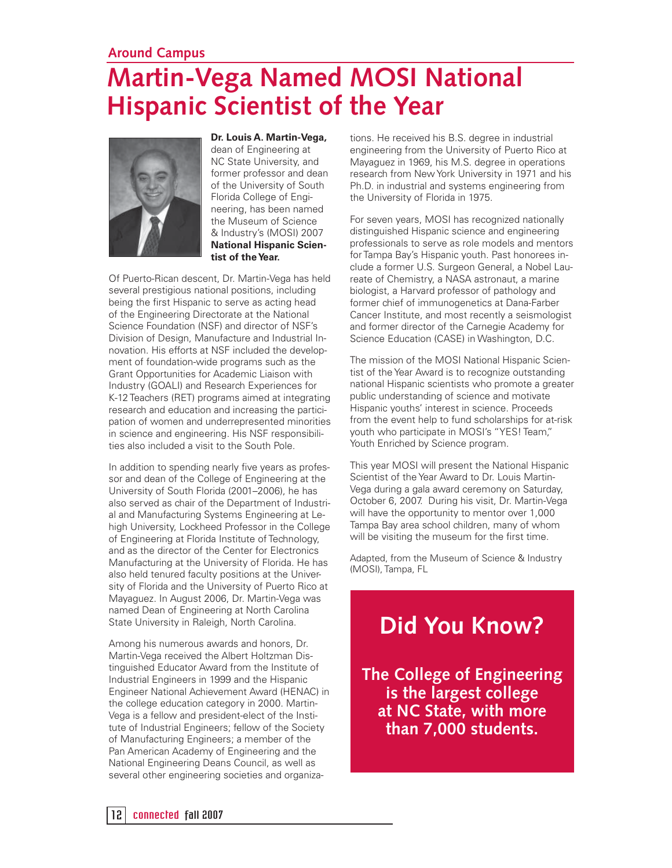#### **Around Campus**

# **Martin-Vega Named MOSI National Hispanic Scientist of the Year**



**Dr. Louis A. Martin-Vega,**  dean of Engineering at NC State University, and former professor and dean of the University of South Florida College of Engineering, has been named the Museum of Science & Industry's (MOSI) 2007 **National Hispanic Scientist of the Year.** 

Of Puerto-Rican descent, Dr. Martin-Vega has held several prestigious national positions, including being the first Hispanic to serve as acting head of the Engineering Directorate at the National Science Foundation (NSF) and director of NSF's Division of Design, Manufacture and Industrial Innovation. His efforts at NSF included the development of foundation-wide programs such as the Grant Opportunities for Academic Liaison with Industry (GOALI) and Research Experiences for K-12 Teachers (RET) programs aimed at integrating research and education and increasing the participation of women and underrepresented minorities in science and engineering. His NSF responsibilities also included a visit to the South Pole.

In addition to spending nearly five years as professor and dean of the College of Engineering at the University of South Florida (2001–2006), he has also served as chair of the Department of Industrial and Manufacturing Systems Engineering at Lehigh University, Lockheed Professor in the College of Engineering at Florida Institute of Technology, and as the director of the Center for Electronics Manufacturing at the University of Florida. He has also held tenured faculty positions at the University of Florida and the University of Puerto Rico at Mayaguez. In August 2006, Dr. Martin-Vega was named Dean of Engineering at North Carolina State University in Raleigh, North Carolina.

Among his numerous awards and honors, Dr. Martin-Vega received the Albert Holtzman Distinguished Educator Award from the Institute of Industrial Engineers in 1999 and the Hispanic Engineer National Achievement Award (HENAC) in the college education category in 2000. Martin-Vega is a fellow and president-elect of the Institute of Industrial Engineers; fellow of the Society of Manufacturing Engineers; a member of the Pan American Academy of Engineering and the National Engineering Deans Council, as well as several other engineering societies and organizations. He received his B.S. degree in industrial engineering from the University of Puerto Rico at Mayaguez in 1969, his M.S. degree in operations research from New York University in 1971 and his Ph.D. in industrial and systems engineering from the University of Florida in 1975.

For seven years, MOSI has recognized nationally distinguished Hispanic science and engineering professionals to serve as role models and mentors for Tampa Bay's Hispanic youth. Past honorees include a former U.S. Surgeon General, a Nobel Laureate of Chemistry, a NASA astronaut, a marine biologist, a Harvard professor of pathology and former chief of immunogenetics at Dana-Farber Cancer Institute, and most recently a seismologist and former director of the Carnegie Academy for Science Education (CASE) in Washington, D.C.

The mission of the MOSI National Hispanic Scientist of the Year Award is to recognize outstanding national Hispanic scientists who promote a greater public understanding of science and motivate Hispanic youths' interest in science. Proceeds from the event help to fund scholarships for at-risk youth who participate in MOSI's "YES! Team," Youth Enriched by Science program.

This year MOSI will present the National Hispanic Scientist of the Year Award to Dr. Louis Martin-Vega during a gala award ceremony on Saturday, October 6, 2007. During his visit, Dr. Martin-Vega will have the opportunity to mentor over 1,000 Tampa Bay area school children, many of whom will be visiting the museum for the first time.

Adapted, from the Museum of Science & Industry (MOSI), Tampa, FL

## **Did You Know?**

**The College of Engineering is the largest college at NC State, with more than 7,000 students.**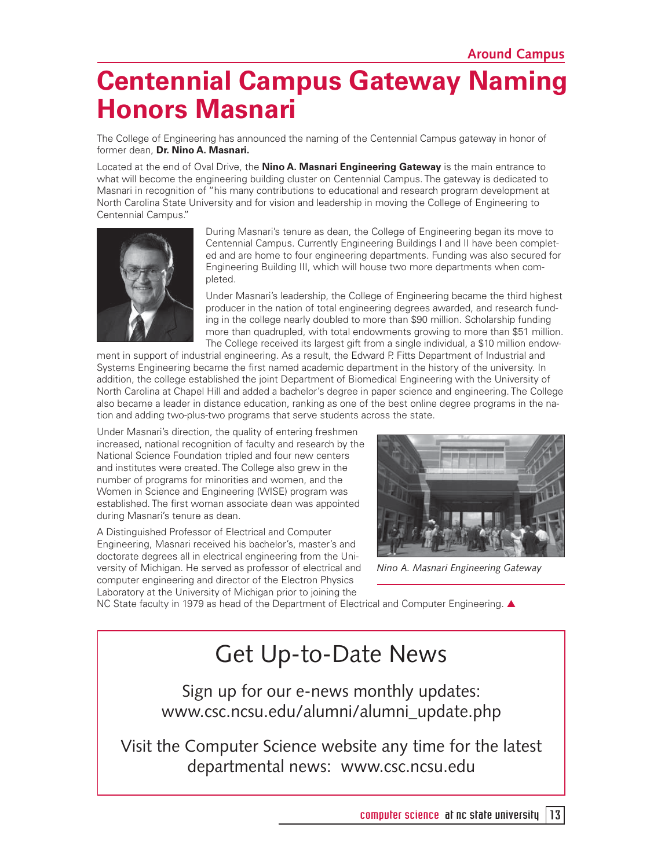# **Centennial Campus Gateway Naming Honors Masnari**

The College of Engineering has announced the naming of the Centennial Campus gateway in honor of former dean, **Dr. Nino A. Masnari.** 

Located at the end of Oval Drive, the **Nino A. Masnari Engineering Gateway** is the main entrance to what will become the engineering building cluster on Centennial Campus. The gateway is dedicated to Masnari in recognition of "his many contributions to educational and research program development at North Carolina State University and for vision and leadership in moving the College of Engineering to Centennial Campus."



During Masnari's tenure as dean, the College of Engineering began its move to Centennial Campus. Currently Engineering Buildings I and II have been completed and are home to four engineering departments. Funding was also secured for Engineering Building III, which will house two more departments when completed.

Under Masnari's leadership, the College of Engineering became the third highest producer in the nation of total engineering degrees awarded, and research funding in the college nearly doubled to more than \$90 million. Scholarship funding more than quadrupled, with total endowments growing to more than \$51 million. The College received its largest gift from a single individual, a \$10 million endow-

ment in support of industrial engineering. As a result, the Edward P. Fitts Department of Industrial and Systems Engineering became the first named academic department in the history of the university. In addition, the college established the joint Department of Biomedical Engineering with the University of North Carolina at Chapel Hill and added a bachelor's degree in paper science and engineering. The College also became a leader in distance education, ranking as one of the best online degree programs in the nation and adding two-plus-two programs that serve students across the state.

Under Masnari's direction, the quality of entering freshmen increased, national recognition of faculty and research by the National Science Foundation tripled and four new centers and institutes were created. The College also grew in the number of programs for minorities and women, and the Women in Science and Engineering (WISE) program was established. The first woman associate dean was appointed during Masnari's tenure as dean.

A Distinguished Professor of Electrical and Computer Engineering, Masnari received his bachelor's, master's and doctorate degrees all in electrical engineering from the University of Michigan. He served as professor of electrical and computer engineering and director of the Electron Physics Laboratory at the University of Michigan prior to joining the



*Nino A. Masnari Engineering Gateway*

NC State faculty in 1979 as head of the Department of Electrical and Computer Engineering. ▲

## Get Up-to-Date News

Sign up for our e-news monthly updates: www.csc.ncsu.edu/alumni/alumni\_update.php

Visit the Computer Science website any time for the latest departmental news: www.csc.ncsu.edu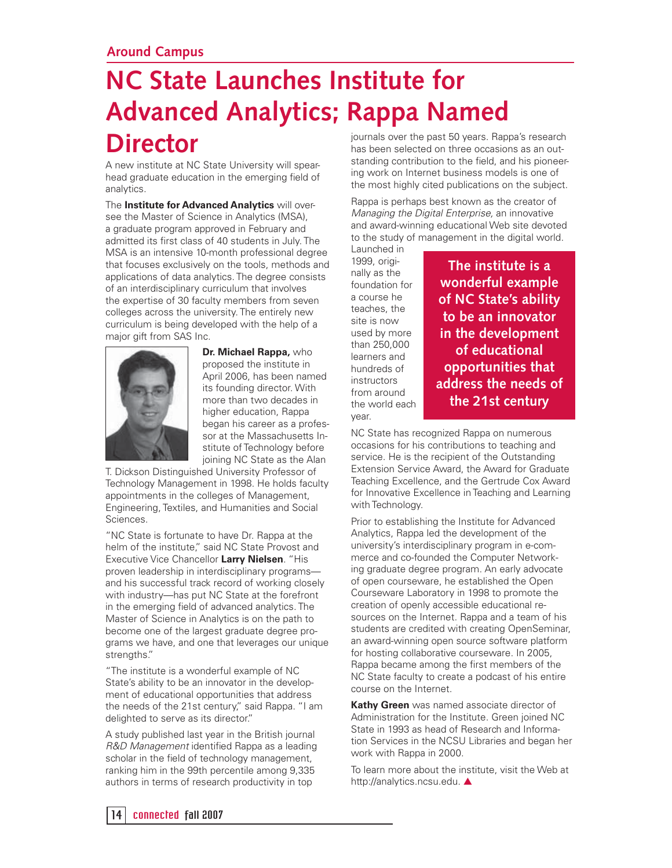# **NC State Launches Institute for Advanced Analytics; Rappa Named Director**

A new institute at NC State University will spearhead graduate education in the emerging field of analytics.

The **Institute for Advanced Analytics** will oversee the Master of Science in Analytics (MSA), a graduate program approved in February and admitted its first class of 40 students in July. The MSA is an intensive 10-month professional degree that focuses exclusively on the tools, methods and applications of data analytics. The degree consists of an interdisciplinary curriculum that involves the expertise of 30 faculty members from seven colleges across the university. The entirely new curriculum is being developed with the help of a major gift from SAS Inc.



**Dr. Michael Rappa,** who proposed the institute in April 2006, has been named its founding director. With more than two decades in higher education, Rappa began his career as a professor at the Massachusetts Institute of Technology before joining NC State as the Alan

T. Dickson Distinguished University Professor of Technology Management in 1998. He holds faculty appointments in the colleges of Management, Engineering, Textiles, and Humanities and Social Sciences.

"NC State is fortunate to have Dr. Rappa at the helm of the institute," said NC State Provost and Executive Vice Chancellor **Larry Nielsen**. "His proven leadership in interdisciplinary programs and his successful track record of working closely with industry—has put NC State at the forefront in the emerging field of advanced analytics. The Master of Science in Analytics is on the path to become one of the largest graduate degree programs we have, and one that leverages our unique strengths."

"The institute is a wonderful example of NC State's ability to be an innovator in the development of educational opportunities that address the needs of the 21st century," said Rappa. "I am delighted to serve as its director."

A study published last year in the British journal R&D Management identified Rappa as a leading scholar in the field of technology management, ranking him in the 99th percentile among 9,335 authors in terms of research productivity in top

journals over the past 50 years. Rappa's research has been selected on three occasions as an outstanding contribution to the field, and his pioneering work on Internet business models is one of the most highly cited publications on the subject.

Rappa is perhaps best known as the creator of Managing the Digital Enterprise, an innovative and award-winning educational Web site devoted to the study of management in the digital world.

Launched in 1999, originally as the foundation for a course he teaches, the site is now used by more than 250,000 learners and hundreds of instructors from around the world each year.

**The institute is a wonderful example of NC State's ability to be an innovator in the development of educational opportunities that address the needs of the 21st century**

NC State has recognized Rappa on numerous occasions for his contributions to teaching and service. He is the recipient of the Outstanding Extension Service Award, the Award for Graduate Teaching Excellence, and the Gertrude Cox Award for Innovative Excellence in Teaching and Learning with Technology.

Prior to establishing the Institute for Advanced Analytics, Rappa led the development of the university's interdisciplinary program in e-commerce and co-founded the Computer Networking graduate degree program. An early advocate of open courseware, he established the Open Courseware Laboratory in 1998 to promote the creation of openly accessible educational resources on the Internet. Rappa and a team of his students are credited with creating OpenSeminar, an award-winning open source software platform for hosting collaborative courseware. In 2005, Rappa became among the first members of the NC State faculty to create a podcast of his entire course on the Internet.

**Kathy Green** was named associate director of Administration for the Institute. Green joined NC State in 1993 as head of Research and Information Services in the NCSU Libraries and began her work with Rappa in 2000.

To learn more about the institute, visit the Web at http://analytics.ncsu.edu. ▲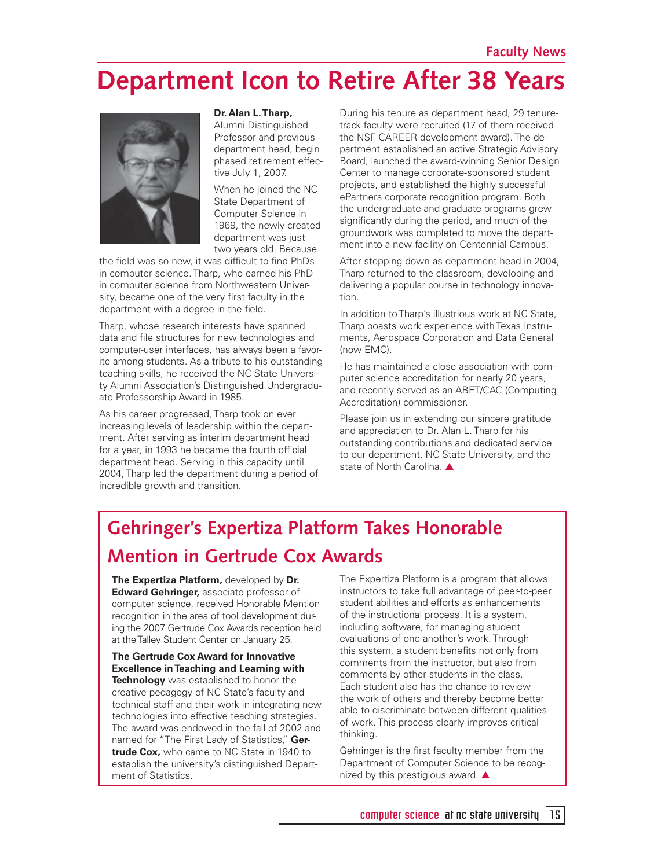# **Department Icon to Retire After 38 Years**



#### **Dr. Alan L. Tharp,**

Alumni Distinguished Professor and previous department head, begin phased retirement effective July 1, 2007.

When he joined the NC State Department of Computer Science in 1969, the newly created department was just two years old. Because

the field was so new, it was difficult to find PhDs in computer science. Tharp, who earned his PhD in computer science from Northwestern University, became one of the very first faculty in the department with a degree in the field.

Tharp, whose research interests have spanned data and file structures for new technologies and computer-user interfaces, has always been a favorite among students. As a tribute to his outstanding teaching skills, he received the NC State University Alumni Association's Distinguished Undergraduate Professorship Award in 1985.

As his career progressed, Tharp took on ever increasing levels of leadership within the department. After serving as interim department head for a year, in 1993 he became the fourth official department head. Serving in this capacity until 2004, Tharp led the department during a period of incredible growth and transition.

During his tenure as department head, 29 tenuretrack faculty were recruited (17 of them received the NSF CAREER development award). The department established an active Strategic Advisory Board, launched the award-winning Senior Design Center to manage corporate-sponsored student projects, and established the highly successful ePartners corporate recognition program. Both the undergraduate and graduate programs grew significantly during the period, and much of the groundwork was completed to move the department into a new facility on Centennial Campus.

After stepping down as department head in 2004, Tharp returned to the classroom, developing and delivering a popular course in technology innovation.

In addition to Tharp's illustrious work at NC State, Tharp boasts work experience with Texas Instruments, Aerospace Corporation and Data General (now EMC).

He has maintained a close association with computer science accreditation for nearly 20 years, and recently served as an ABET/CAC (Computing Accreditation) commissioner.

Please join us in extending our sincere gratitude and appreciation to Dr. Alan L. Tharp for his outstanding contributions and dedicated service to our department, NC State University, and the state of North Carolina. ▲

## **Gehringer's Expertiza Platform Takes Honorable Mention in Gertrude Cox Awards**

**The Expertiza Platform,** developed by **Dr. Edward Gehringer,** associate professor of computer science, received Honorable Mention recognition in the area of tool development during the 2007 Gertrude Cox Awards reception held at the Talley Student Center on January 25.

**The Gertrude Cox Award for Innovative Excellence in Teaching and Learning with Technology** was established to honor the creative pedagogy of NC State's faculty and technical staff and their work in integrating new technologies into effective teaching strategies. The award was endowed in the fall of 2002 and named for "The First Lady of Statistics," **Gertrude Cox,** who came to NC State in 1940 to establish the university's distinguished Department of Statistics.

The Expertiza Platform is a program that allows instructors to take full advantage of peer-to-peer student abilities and efforts as enhancements of the instructional process. It is a system, including software, for managing student evaluations of one another's work. Through this system, a student benefits not only from comments from the instructor, but also from comments by other students in the class. Each student also has the chance to review the work of others and thereby become better able to discriminate between different qualities of work. This process clearly improves critical thinking.

Gehringer is the first faculty member from the Department of Computer Science to be recognized by this prestigious award. ▲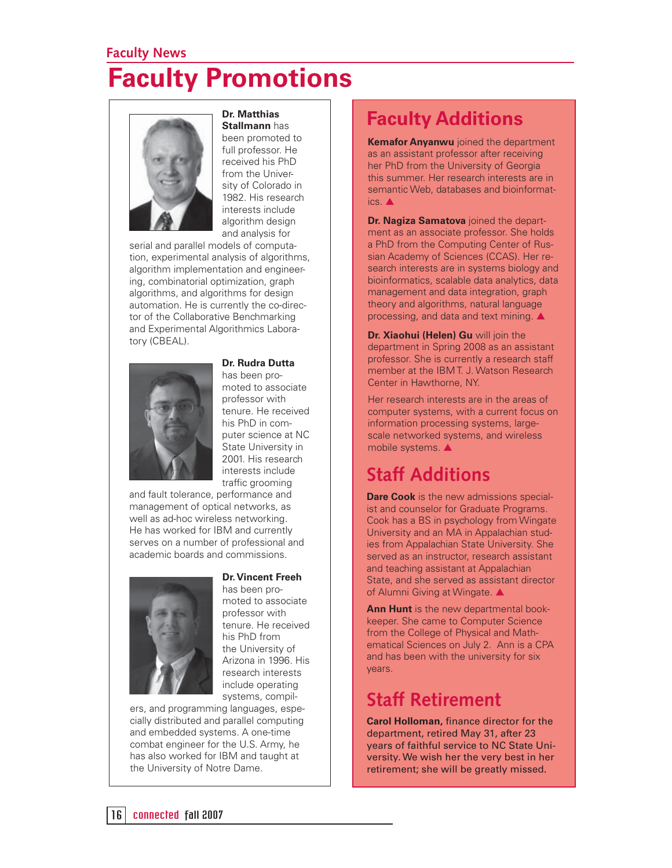## **Faculty News Faculty Promotions**



**Dr. Matthias** 

**Stallmann** has been promoted to full professor. He received his PhD from the University of Colorado in 1982. His research interests include algorithm design and analysis for

serial and parallel models of computation, experimental analysis of algorithms, algorithm implementation and engineering, combinatorial optimization, graph algorithms, and algorithms for design automation. He is currently the co-director of the Collaborative Benchmarking and Experimental Algorithmics Laboratory (CBEAL).



**Dr. Rudra Dutta**

has been promoted to associate professor with tenure. He received his PhD in computer science at NC State University in 2001. His research interests include traffic grooming

and fault tolerance, performance and management of optical networks, as well as ad-hoc wireless networking. He has worked for IBM and currently serves on a number of professional and academic boards and commissions.



#### **Dr. Vincent Freeh**

has been promoted to associate professor with tenure. He received his PhD from the University of Arizona in 1996. His research interests include operating systems, compil-

ers, and programming languages, especially distributed and parallel computing and embedded systems. A one-time combat engineer for the U.S. Army, he has also worked for IBM and taught at the University of Notre Dame.

### **Faculty Additions**

**Kemafor Anyanwu** joined the department as an assistant professor after receiving her PhD from the University of Georgia this summer. Her research interests are in semantic Web, databases and bioinformatics. ▲

**Dr. Nagiza Samatova** joined the department as an associate professor. She holds a PhD from the Computing Center of Russian Academy of Sciences (CCAS). Her research interests are in systems biology and bioinformatics, scalable data analytics, data management and data integration, graph theory and algorithms, natural language processing, and data and text mining. ▲

**Dr. Xiaohui (Helen) Gu** will join the department in Spring 2008 as an assistant professor. She is currently a research staff member at the IBM T. J. Watson Research Center in Hawthorne, NY.

Her research interests are in the areas of computer systems, with a current focus on information processing systems, largescale networked systems, and wireless mobile systems. ▲

### **Staff Additions**

**Dare Cook** is the new admissions specialist and counselor for Graduate Programs. Cook has a BS in psychology from Wingate University and an MA in Appalachian studies from Appalachian State University. She served as an instructor, research assistant and teaching assistant at Appalachian State, and she served as assistant director of Alumni Giving at Wingate. ▲

**Ann Hunt** is the new departmental bookkeeper. She came to Computer Science from the College of Physical and Mathematical Sciences on July 2. Ann is a CPA and has been with the university for six years.

### **Staff Retirement**

**Carol Holloman, finance director for the** department, retired May 31, after 23 years of faithful service to NC State University. We wish her the very best in her retirement; she will be greatly missed.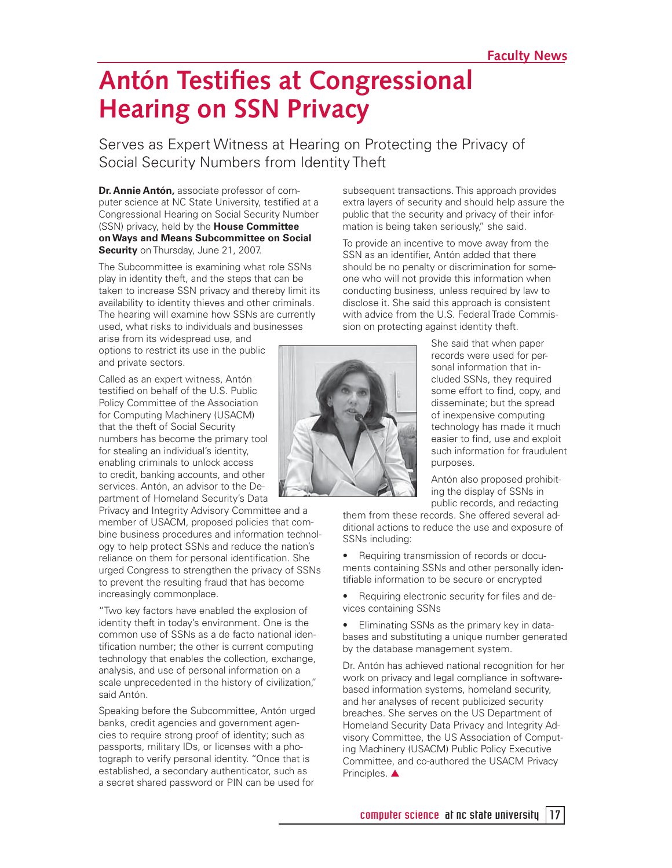# **Antón Testifies at Congressional Hearing on SSN Privacy**

Serves as Expert Witness at Hearing on Protecting the Privacy of Social Security Numbers from Identity Theft

**Dr. Annie Antón,** associate professor of computer science at NC State University, testified at a Congressional Hearing on Social Security Number (SSN) privacy, held by the **House Committee on Ways and Means Subcommittee on Social Security** on Thursday, June 21, 2007.

The Subcommittee is examining what role SSNs play in identity theft, and the steps that can be taken to increase SSN privacy and thereby limit its availability to identity thieves and other criminals. The hearing will examine how SSNs are currently used, what risks to individuals and businesses

arise from its widespread use, and options to restrict its use in the public and private sectors.

Called as an expert witness, Antón testified on behalf of the U.S. Public Policy Committee of the Association for Computing Machinery (USACM) that the theft of Social Security numbers has become the primary tool for stealing an individual's identity, enabling criminals to unlock access to credit, banking accounts, and other services. Antón, an advisor to the Department of Homeland Security's Data

Privacy and Integrity Advisory Committee and a member of USACM, proposed policies that combine business procedures and information technology to help protect SSNs and reduce the nation's reliance on them for personal identification. She urged Congress to strengthen the privacy of SSNs to prevent the resulting fraud that has become increasingly commonplace.

"Two key factors have enabled the explosion of identity theft in today's environment. One is the common use of SSNs as a de facto national identification number; the other is current computing technology that enables the collection, exchange, analysis, and use of personal information on a scale unprecedented in the history of civilization," said Antón.

Speaking before the Subcommittee, Antón urged banks, credit agencies and government agencies to require strong proof of identity; such as passports, military IDs, or licenses with a photograph to verify personal identity. "Once that is established, a secondary authenticator, such as a secret shared password or PIN can be used for

subsequent transactions. This approach provides extra layers of security and should help assure the public that the security and privacy of their information is being taken seriously," she said.

To provide an incentive to move away from the SSN as an identifier, Antón added that there should be no penalty or discrimination for someone who will not provide this information when conducting business, unless required by law to disclose it. She said this approach is consistent with advice from the U.S. Federal Trade Commission on protecting against identity theft.



She said that when paper records were used for personal information that included SSNs, they required some effort to find, copy, and disseminate; but the spread of inexpensive computing technology has made it much easier to find, use and exploit such information for fraudulent purposes.

Antón also proposed prohibiting the display of SSNs in public records, and redacting

them from these records. She offered several additional actions to reduce the use and exposure of SSNs including:

• Requiring transmission of records or documents containing SSNs and other personally identifiable information to be secure or encrypted

Requiring electronic security for files and devices containing SSNs

• Eliminating SSNs as the primary key in databases and substituting a unique number generated by the database management system.

Dr. Antón has achieved national recognition for her work on privacy and legal compliance in softwarebased information systems, homeland security, and her analyses of recent publicized security breaches. She serves on the US Department of Homeland Security Data Privacy and Integrity Advisory Committee, the US Association of Computing Machinery (USACM) Public Policy Executive Committee, and co-authored the USACM Privacy Principles. **▲**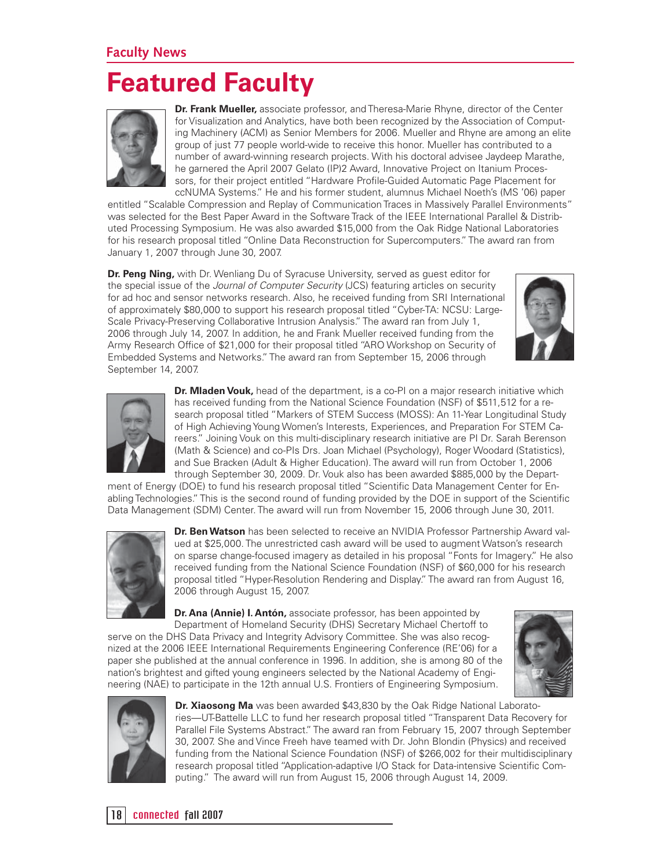#### **Faculty News**

## **Featured Faculty**



**Dr. Frank Mueller,** associate professor, and Theresa-Marie Rhyne, director of the Center for Visualization and Analytics, have both been recognized by the Association of Computing Machinery (ACM) as Senior Members for 2006. Mueller and Rhyne are among an elite group of just 77 people world-wide to receive this honor. Mueller has contributed to a number of award-winning research projects. With his doctoral advisee Jaydeep Marathe, he garnered the April 2007 Gelato (IP)2 Award, Innovative Project on Itanium Processors, for their project entitled "Hardware Profile-Guided Automatic Page Placement for ccNUMA Systems." He and his former student, alumnus Michael Noeth's (MS '06) paper

entitled "Scalable Compression and Replay of Communication Traces in Massively Parallel Environments" was selected for the Best Paper Award in the Software Track of the IEEE International Parallel & Distributed Processing Symposium. He was also awarded \$15,000 from the Oak Ridge National Laboratories for his research proposal titled "Online Data Reconstruction for Supercomputers." The award ran from January 1, 2007 through June 30, 2007.

**Dr. Peng Ning,** with Dr. Wenliang Du of Syracuse University, served as quest editor for the special issue of the *Journal of Computer Security* (JCS) featuring articles on security for ad hoc and sensor networks research. Also, he received funding from SRI International of approximately \$80,000 to support his research proposal titled "Cyber-TA: NCSU: Large-Scale Privacy-Preserving Collaborative Intrusion Analysis." The award ran from July 1, 2006 through July 14, 2007. In addition, he and Frank Mueller received funding from the Army Research Office of \$21,000 for their proposal titled "ARO Workshop on Security of Embedded Systems and Networks." The award ran from September 15, 2006 through September 14, 2007.





**Dr. Mladen Vouk,** head of the department, is a co-PI on a major research initiative which has received funding from the National Science Foundation (NSF) of \$511,512 for a research proposal titled "Markers of STEM Success (MOSS): An 11-Year Longitudinal Study of High Achieving Young Women's Interests, Experiences, and Preparation For STEM Careers." Joining Vouk on this multi-disciplinary research initiative are PI Dr. Sarah Berenson (Math & Science) and co-PIs Drs. Joan Michael (Psychology), Roger Woodard (Statistics), and Sue Bracken (Adult & Higher Education). The award will run from October 1, 2006 through September 30, 2009. Dr. Vouk also has been awarded \$885,000 by the Depart-

ment of Energy (DOE) to fund his research proposal titled "Scientific Data Management Center for Enabling Technologies." This is the second round of funding provided by the DOE in support of the Scientific Data Management (SDM) Center. The award will run from November 15, 2006 through June 30, 2011.



**Dr. Ben Watson** has been selected to receive an NVIDIA Professor Partnership Award valued at \$25,000. The unrestricted cash award will be used to augment Watson's research on sparse change-focused imagery as detailed in his proposal "Fonts for Imagery." He also received funding from the National Science Foundation (NSF) of \$60,000 for his research proposal titled "Hyper-Resolution Rendering and Display." The award ran from August 16, 2006 through August 15, 2007.

**Dr. Ana (Annie) I. Antón, associate professor, has been appointed by** Department of Homeland Security (DHS) Secretary Michael Chertoff to

serve on the DHS Data Privacy and Integrity Advisory Committee. She was also recognized at the 2006 IEEE International Requirements Engineering Conference (RE'06) for a paper she published at the annual conference in 1996. In addition, she is among 80 of the nation's brightest and gifted young engineers selected by the National Academy of Engineering (NAE) to participate in the 12th annual U.S. Frontiers of Engineering Symposium.





**Dr. Xiaosong Ma** was been awarded \$43,830 by the Oak Ridge National Laboratories—UT-Battelle LLC to fund her research proposal titled "Transparent Data Recovery for Parallel File Systems Abstract." The award ran from February 15, 2007 through September 30, 2007. She and Vince Freeh have teamed with Dr. John Blondin (Physics) and received funding from the National Science Foundation (NSF) of \$266,002 for their multidisciplinary research proposal titled "Application-adaptive I/O Stack for Data-intensive Scientific Computing." The award will run from August 15, 2006 through August 14, 2009.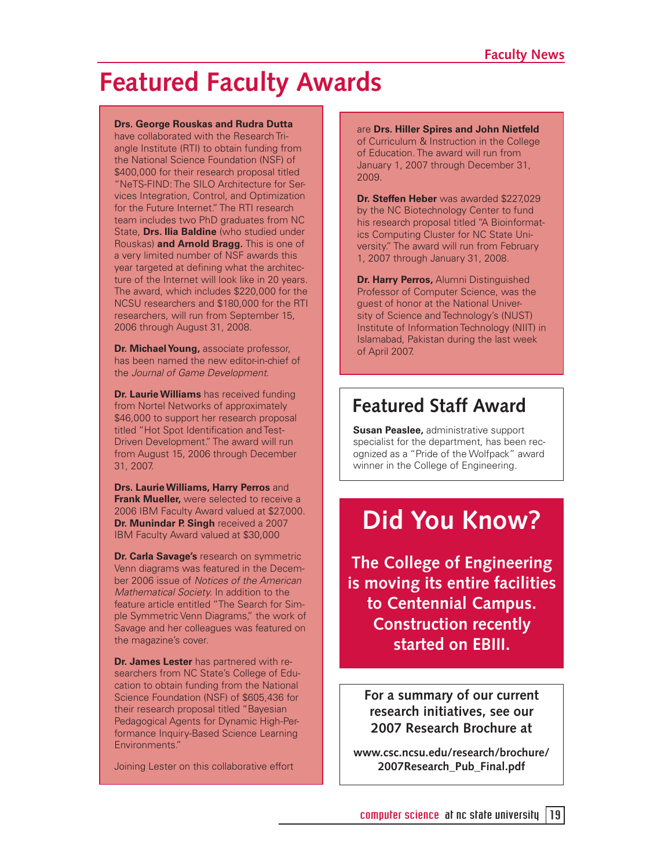## **Featured Faculty Awards**

#### **Drs. George Rouskas and Rudra Dutta**

have collaborated with the Research Triangle Institute (RTI) to obtain funding from the National Science Foundation (NSF) of \$400,000 for their research proposal titled "NeTS-FIND: The SILO Architecture for Services Integration, Control, and Optimization for the Future Internet." The RTI research team includes two PhD graduates from NC State, **Drs. Ilia Baldine** (who studied under Rouskas) **and Arnold Bragg.** This is one of a very limited number of NSF awards this year targeted at defining what the architecture of the Internet will look like in 20 years. The award, which includes \$220,000 for the NCSU researchers and \$180,000 for the RTI researchers, will run from September 15, 2006 through August 31, 2008.

**Dr. Michael Young,** associate professor, has been named the new editor-in-chief of the Journal of Game Development.

**Dr. Laurie Williams** has received funding from Nortel Networks of approximately \$46,000 to support her research proposal titled "Hot Spot Identification and Test-Driven Development." The award will run from August 15, 2006 through December 31, 2007.

**Drs. Laurie Williams, Harry Perros** and **Frank Mueller,** were selected to receive a 2006 IBM Faculty Award valued at \$27,000. **Dr. Munindar P. Singh** received a 2007 IBM Faculty Award valued at \$30,000

**Dr. Carla Savage's** research on symmetric Venn diagrams was featured in the December 2006 issue of Notices of the American Mathematical Society. In addition to the feature article entitled "The Search for Simple Symmetric Venn Diagrams," the work of Savage and her colleagues was featured on the magazine's cover.

**Dr. James Lester** has partnered with researchers from NC State's College of Education to obtain funding from the National Science Foundation (NSF) of \$605,436 for their research proposal titled "Bayesian Pedagogical Agents for Dynamic High-Performance Inquiry-Based Science Learning Environments."

Joining Lester on this collaborative effort

are **Drs. Hiller Spires and John Nietfeld**  of Curriculum & Instruction in the College of Education. The award will run from January 1, 2007 through December 31, 2009.

**Dr. Steffen Heber** was awarded \$227,029 by the NC Biotechnology Center to fund his research proposal titled "A Bioinformatics Computing Cluster for NC State University." The award will run from February 1, 2007 through January 31, 2008.

**Dr. Harry Perros,** Alumni Distinguished Professor of Computer Science, was the guest of honor at the National University of Science and Technology's (NUST) Institute of Information Technology (NIIT) in Islamabad, Pakistan during the last week of April 2007.

### **Featured Staff Award**

**Susan Peaslee,** administrative support specialist for the department, has been recognized as a "Pride of the Wolfpack" award winner in the College of Engineering.

## **Did You Know?**

**The College of Engineering is moving its entire facilities to Centennial Campus. Construction recently started on EBIII.**

**For a summary of our current research initiatives, see our 2007 Research Brochure at** 

**www.csc.ncsu.edu/research/brochure/ 2007Research\_Pub\_Final.pdf**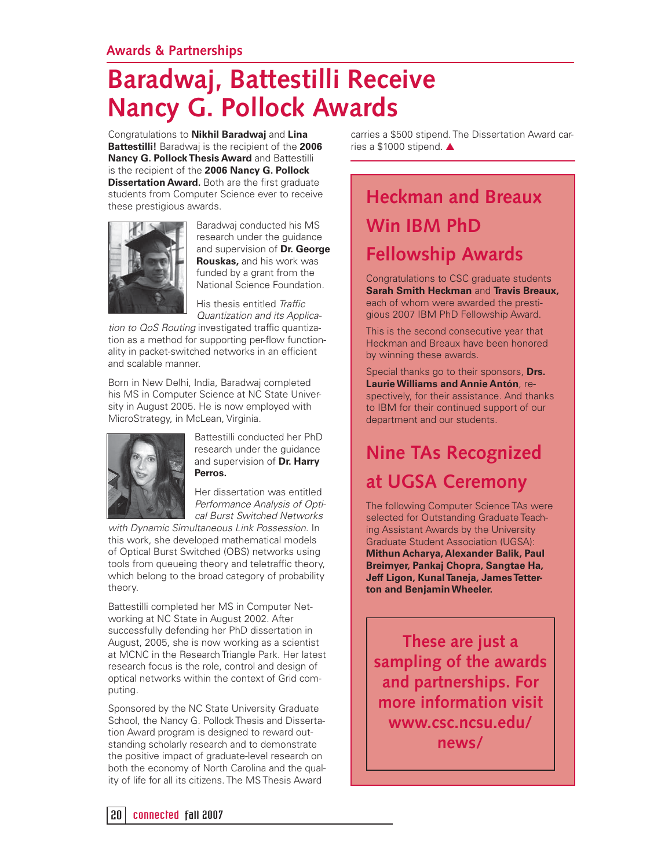# **Baradwaj, Battestilli Receive Nancy G. Pollock Awards**

Congratulations to **Nikhil Baradwaj** and **Lina Battestilli!** Baradwaj is the recipient of the **2006 Nancy G. Pollock Thesis Award** and Battestilli is the recipient of the **2006 Nancy G. Pollock Dissertation Award.** Both are the first graduate students from Computer Science ever to receive these prestigious awards.



Baradwaj conducted his MS research under the guidance and supervision of **Dr. George Rouskas,** and his work was funded by a grant from the National Science Foundation.

His thesis entitled Traffic Quantization and its Applica-

tion to QoS Routing investigated traffic quantization as a method for supporting per-flow functionality in packet-switched networks in an efficient and scalable manner.

Born in New Delhi, India, Baradwaj completed his MS in Computer Science at NC State University in August 2005. He is now employed with MicroStrategy, in McLean, Virginia.



Battestilli conducted her PhD research under the guidance and supervision of **Dr. Harry Perros.** 

Her dissertation was entitled Performance Analysis of Optical Burst Switched Networks

with Dynamic Simultaneous Link Possession. In this work, she developed mathematical models of Optical Burst Switched (OBS) networks using tools from queueing theory and teletraffic theory, which belong to the broad category of probability theory.

Battestilli completed her MS in Computer Networking at NC State in August 2002. After successfully defending her PhD dissertation in August, 2005, she is now working as a scientist at MCNC in the Research Triangle Park. Her latest research focus is the role, control and design of optical networks within the context of Grid computing.

Sponsored by the NC State University Graduate School, the Nancy G. Pollock Thesis and Dissertation Award program is designed to reward outstanding scholarly research and to demonstrate the positive impact of graduate-level research on both the economy of North Carolina and the quality of life for all its citizens. The MS Thesis Award

carries a \$500 stipend. The Dissertation Award carries a \$1000 stipend. ▲

## **Heckman and Breaux Win IBM PhD Fellowship Awards**

Congratulations to CSC graduate students **Sarah Smith Heckman** and **Travis Breaux,**  each of whom were awarded the prestigious 2007 IBM PhD Fellowship Award.

This is the second consecutive year that Heckman and Breaux have been honored by winning these awards.

Special thanks go to their sponsors, **Drs. Laurie Williams and Annie Antón**, respectively, for their assistance. And thanks to IBM for their continued support of our department and our students.

## **Nine TAs Recognized at UGSA Ceremony**

The following Computer Science TAs were selected for Outstanding Graduate Teaching Assistant Awards by the University Graduate Student Association (UGSA): **Mithun Acharya, Alexander Balik, Paul Breimyer, Pankaj Chopra, Sangtae Ha, Jeff Ligon, Kunal Taneja, James Tetterton and Benjamin Wheeler.**

**These are just a sampling of the awards and partnerships. For more information visit www.csc.ncsu.edu/ news/**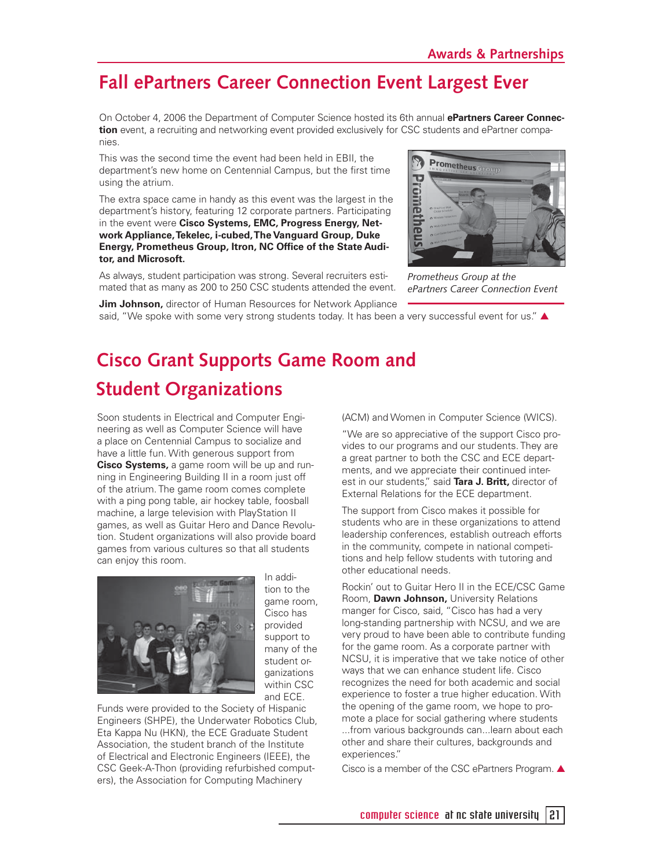### **Fall ePartners Career Connection Event Largest Ever**

On October 4, 2006 the Department of Computer Science hosted its 6th annual **ePartners Career Connection** event, a recruiting and networking event provided exclusively for CSC students and ePartner companies.

This was the second time the event had been held in EBII, the department's new home on Centennial Campus, but the first time using the atrium.

The extra space came in handy as this event was the largest in the department's history, featuring 12 corporate partners. Participating in the event were **Cisco Systems, EMC, Progress Energy, Network Appliance, Tekelec, i-cubed, The Vanguard Group, Duke Energy, Prometheus Group, Itron, NC Office of the State Auditor, and Microsoft.** 

As always, student participation was strong. Several recruiters estimated that as many as 200 to 250 CSC students attended the event.



*Prometheus Group at the ePartners Career Connection Event*

**Jim Johnson,** director of Human Resources for Network Appliance said, "We spoke with some very strong students today. It has been a very successful event for us."  $\blacktriangle$ 

## **Cisco Grant Supports Game Room and Student Organizations**

Soon students in Electrical and Computer Engineering as well as Computer Science will have a place on Centennial Campus to socialize and have a little fun. With generous support from **Cisco Systems,** a game room will be up and running in Engineering Building II in a room just off of the atrium. The game room comes complete with a ping pong table, air hockey table, foosball machine, a large television with PlayStation II games, as well as Guitar Hero and Dance Revolution. Student organizations will also provide board games from various cultures so that all students can enjoy this room.



In addition to the game room, Cisco has provided support to many of the student organizations within CSC and ECE.

Funds were provided to the Society of Hispanic Engineers (SHPE), the Underwater Robotics Club, Eta Kappa Nu (HKN), the ECE Graduate Student Association, the student branch of the Institute of Electrical and Electronic Engineers (IEEE), the CSC Geek-A-Thon (providing refurbished computers), the Association for Computing Machinery

(ACM) and Women in Computer Science (WICS).

"We are so appreciative of the support Cisco provides to our programs and our students. They are a great partner to both the CSC and ECE departments, and we appreciate their continued interest in our students," said **Tara J. Britt,** director of External Relations for the ECE department.

The support from Cisco makes it possible for students who are in these organizations to attend leadership conferences, establish outreach efforts in the community, compete in national competitions and help fellow students with tutoring and other educational needs.

Rockin' out to Guitar Hero II in the ECE/CSC Game Room, **Dawn Johnson,** University Relations manger for Cisco, said, "Cisco has had a very long-standing partnership with NCSU, and we are very proud to have been able to contribute funding for the game room. As a corporate partner with NCSU, it is imperative that we take notice of other ways that we can enhance student life. Cisco recognizes the need for both academic and social experience to foster a true higher education. With the opening of the game room, we hope to promote a place for social gathering where students ...from various backgrounds can...learn about each other and share their cultures, backgrounds and experiences."

Cisco is a member of the CSC ePartners Program. ▲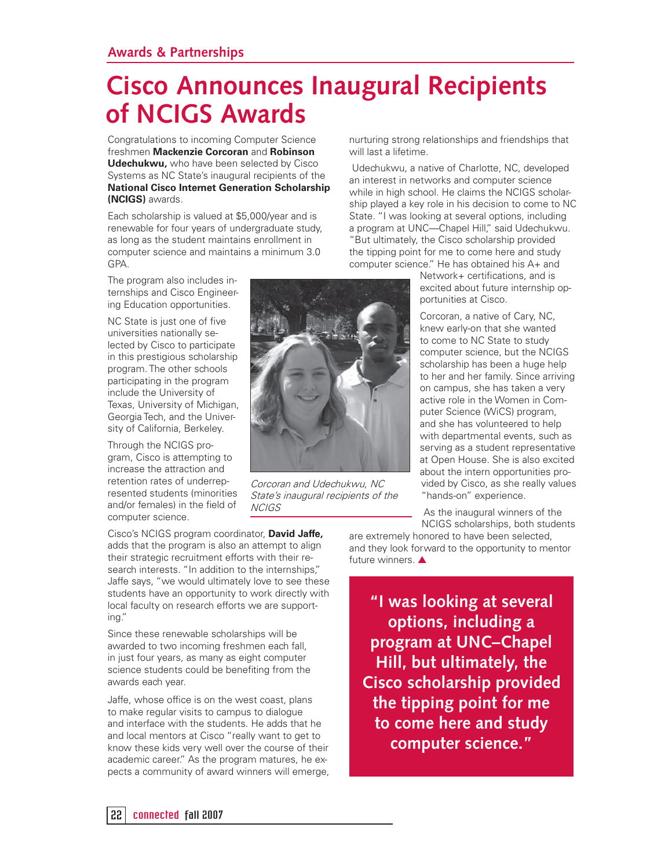# **Cisco Announces Inaugural Recipients of NCIGS Awards**

Congratulations to incoming Computer Science freshmen **Mackenzie Corcoran** and **Robinson Udechukwu,** who have been selected by Cisco Systems as NC State's inaugural recipients of the **National Cisco Internet Generation Scholarship (NCIGS)** awards.

Each scholarship is valued at \$5,000/year and is renewable for four years of undergraduate study, as long as the student maintains enrollment in computer science and maintains a minimum 3.0 GPA.

The program also includes internships and Cisco Engineering Education opportunities.

NC State is just one of five universities nationally selected by Cisco to participate in this prestigious scholarship program. The other schools participating in the program include the University of Texas, University of Michigan, Georgia Tech, and the University of California, Berkeley.

Through the NCIGS program, Cisco is attempting to increase the attraction and retention rates of underrepresented students (minorities and/or females) in the field of computer science.

Corcoran and Udechukwu, NC State's inaugural recipients of the NCIGS

nurturing strong relationships and friendships that will last a lifetime.

 Udechukwu, a native of Charlotte, NC, developed an interest in networks and computer science while in high school. He claims the NCIGS scholarship played a key role in his decision to come to NC State. "I was looking at several options, including a program at UNC—Chapel Hill," said Udechukwu. "But ultimately, the Cisco scholarship provided the tipping point for me to come here and study computer science." He has obtained his A+ and

> Network+ certifications, and is excited about future internship opportunities at Cisco.

Corcoran, a native of Cary, NC, knew early-on that she wanted to come to NC State to study computer science, but the NCIGS scholarship has been a huge help to her and her family. Since arriving on campus, she has taken a very active role in the Women in Computer Science (WiCS) program, and she has volunteered to help with departmental events, such as serving as a student representative at Open House. She is also excited about the intern opportunities provided by Cisco, as she really values "hands-on" experience.

 As the inaugural winners of the NCIGS scholarships, both students

are extremely honored to have been selected, and they look forward to the opportunity to mentor future winners. ▲

**"I was looking at several options, including a program at UNC–Chapel Hill, but ultimately, the Cisco scholarship provided the tipping point for me to come here and study computer science."** 

Cisco's NCIGS program coordinator, **David Jaffe,**  adds that the program is also an attempt to align their strategic recruitment efforts with their research interests. "In addition to the internships," Jaffe says, "we would ultimately love to see these students have an opportunity to work directly with local faculty on research efforts we are supporting."

Since these renewable scholarships will be awarded to two incoming freshmen each fall, in just four years, as many as eight computer science students could be benefiting from the awards each year.

Jaffe, whose office is on the west coast, plans to make regular visits to campus to dialogue and interface with the students. He adds that he and local mentors at Cisco "really want to get to know these kids very well over the course of their academic career." As the program matures, he expects a community of award winners will emerge,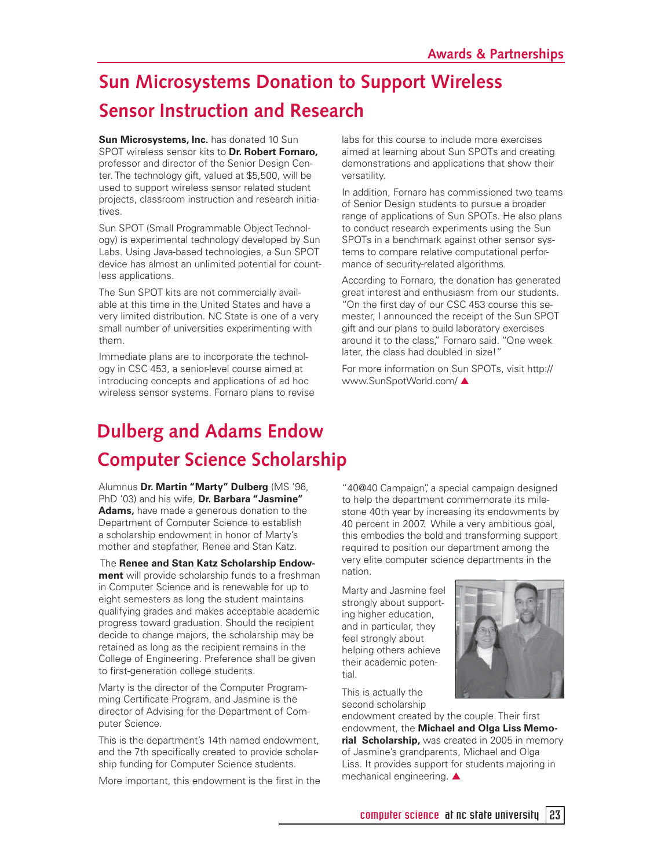## **Sun Microsystems Donation to Support Wireless Sensor Instruction and Research**

#### **Sun Microsystems, Inc.** has donated 10 Sun

SPOT wireless sensor kits to **Dr. Robert Fornaro,** professor and director of the Senior Design Center. The technology gift, valued at \$5,500, will be used to support wireless sensor related student projects, classroom instruction and research initiatives.

Sun SPOT (Small Programmable Object Technology) is experimental technology developed by Sun Labs. Using Java-based technologies, a Sun SPOT device has almost an unlimited potential for countless applications.

The Sun SPOT kits are not commercially available at this time in the United States and have a very limited distribution. NC State is one of a very small number of universities experimenting with them.

Immediate plans are to incorporate the technology in CSC 453, a senior-level course aimed at introducing concepts and applications of ad hoc wireless sensor systems. Fornaro plans to revise labs for this course to include more exercises aimed at learning about Sun SPOTs and creating demonstrations and applications that show their versatility.

In addition, Fornaro has commissioned two teams of Senior Design students to pursue a broader range of applications of Sun SPOTs. He also plans to conduct research experiments using the Sun SPOTs in a benchmark against other sensor systems to compare relative computational performance of security-related algorithms.

According to Fornaro, the donation has generated great interest and enthusiasm from our students. "On the first day of our CSC 453 course this semester, I announced the receipt of the Sun SPOT gift and our plans to build laboratory exercises around it to the class," Fornaro said. "One week later, the class had doubled in size!"

For more information on Sun SPOTs, visit http:// www.SunSpotWorld.com/ ▲

## **Dulberg and Adams Endow Computer Science Scholarship**

Alumnus **Dr. Martin "Marty" Dulberg** (MS '96, PhD '03) and his wife, **Dr. Barbara "Jasmine" Adams,** have made a generous donation to the Department of Computer Science to establish a scholarship endowment in honor of Marty's mother and stepfather, Renee and Stan Katz.

#### The **Renee and Stan Katz Scholarship Endow-**

**ment** will provide scholarship funds to a freshman in Computer Science and is renewable for up to eight semesters as long the student maintains qualifying grades and makes acceptable academic progress toward graduation. Should the recipient decide to change majors, the scholarship may be retained as long as the recipient remains in the College of Engineering. Preference shall be given to first-generation college students.

Marty is the director of the Computer Programming Certificate Program, and Jasmine is the director of Advising for the Department of Computer Science.

This is the department's 14th named endowment, and the 7th specifically created to provide scholarship funding for Computer Science students.

More important, this endowment is the first in the

"40@40 Campaign", a special campaign designed to help the department commemorate its milestone 40th year by increasing its endowments by 40 percent in 2007. While a very ambitious goal, this embodies the bold and transforming support required to position our department among the very elite computer science departments in the nation.

Marty and Jasmine feel strongly about supporting higher education, and in particular, they feel strongly about helping others achieve their academic potential.



This is actually the second scholarship

endowment created by the couple. Their first endowment, the **Michael and Olga Liss Memorial Scholarship, was created in 2005 in memory** of Jasmine's grandparents, Michael and Olga Liss. It provides support for students majoring in mechanical engineering. ▲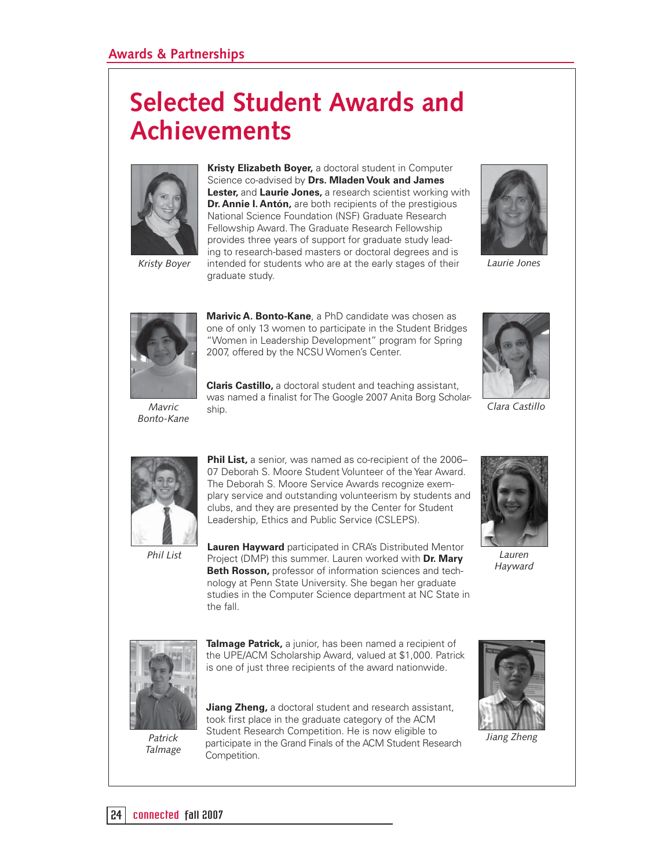# **Selected Student Awards and Achievements**



**Kristy Elizabeth Boyer,** a doctoral student in Computer Science co-advised by **Drs. Mladen Vouk and James Lester,** and **Laurie Jones,** a research scientist working with **Dr. Annie I. Antón,** are both recipients of the prestigious National Science Foundation (NSF) Graduate Research Fellowship Award. The Graduate Research Fellowship provides three years of support for graduate study leading to research-based masters or doctoral degrees and is Kristy Boyer intended for students who are at the early stages of their Laurie Jones graduate study.





**Marivic A. Bonto-Kane**, a PhD candidate was chosen as one of only 13 women to participate in the Student Bridges "Women in Leadership Development" program for Spring 2007, offered by the NCSU Women's Center.

*Mavric* ship. *Bonto-Kane*

**Claris Castillo,** a doctoral student and teaching assistant, was named a finalist for The Google 2007 Anita Borg Scholar-

*Clara Castillo*



**Phil List,** a senior, was named as co-recipient of the 2006– 07 Deborah S. Moore Student Volunteer of the Year Award. The Deborah S. Moore Service Awards recognize exemplary service and outstanding volunteerism by students and clubs, and they are presented by the Center for Student Leadership, Ethics and Public Service (CSLEPS).

*Phil List*

**Lauren Hayward** participated in CRA's Distributed Mentor Project (DMP) this summer. Lauren worked with **Dr. Mary Beth Rosson,** professor of information sciences and technology at Penn State University. She began her graduate studies in the Computer Science department at NC State in the fall.



*Lauren Hayward*



*Talmage*

**Talmage Patrick,** a junior, has been named a recipient of the UPE/ACM Scholarship Award, valued at \$1,000. Patrick is one of just three recipients of the award nationwide.

**Jiang Zheng,** a doctoral student and research assistant, took first place in the graduate category of the ACM Student Research Competition. He is now eligible to participate in the Grand Finals of the ACM Student Research *Patrick Jiang Zheng* Competition.

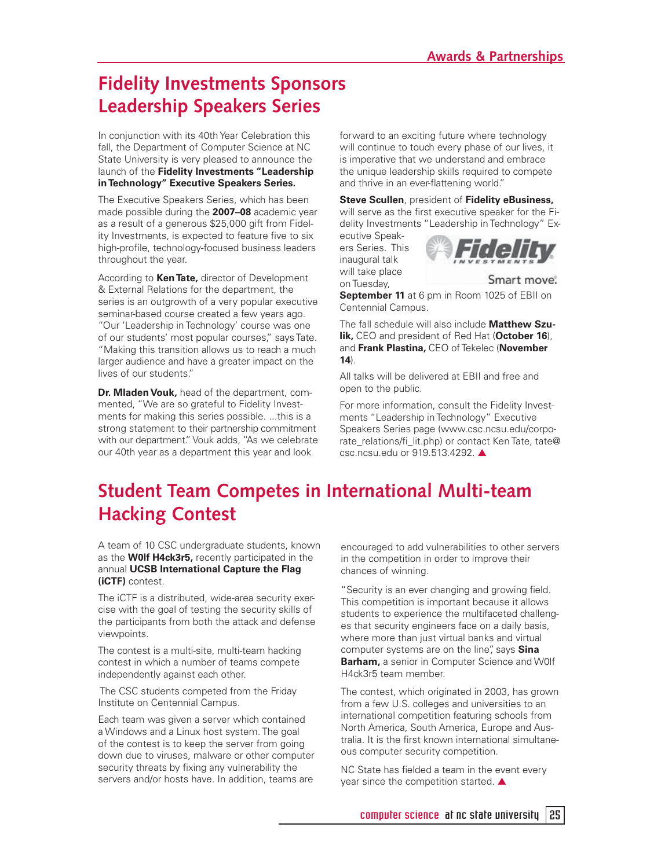### **Fidelity Investments Sponsors Leadership Speakers Series**

In conjunction with its 40th Year Celebration this fall, the Department of Computer Science at NC State University is very pleased to announce the launch of the **Fidelity Investments "Leadership in Technology" Executive Speakers Series.**

The Executive Speakers Series, which has been made possible during the **2007–08** academic year as a result of a generous \$25,000 gift from Fidelity Investments, is expected to feature five to six high-profile, technology-focused business leaders throughout the year.

According to **Ken Tate,** director of Development & External Relations for the department, the series is an outgrowth of a very popular executive seminar-based course created a few years ago. "Our 'Leadership in Technology' course was one of our students' most popular courses," says Tate. "Making this transition allows us to reach a much larger audience and have a greater impact on the lives of our students."

**Dr. Mladen Vouk,** head of the department, commented, "We are so grateful to Fidelity Investments for making this series possible. ...this is a strong statement to their partnership commitment with our department." Vouk adds, "As we celebrate our 40th year as a department this year and look

forward to an exciting future where technology will continue to touch every phase of our lives, it is imperative that we understand and embrace the unique leadership skills required to compete and thrive in an ever-flattening world."

**Steve Scullen**, president of **Fidelity eBusiness,**  will serve as the first executive speaker for the Fidelity Investments "Leadership in Technology" Ex-

ecutive Speakers Series. This inaugural talk will take place on Tuesday,



Smart move.

**September 11** at 6 pm in Room 1025 of EBII on Centennial Campus.

The fall schedule will also include **Matthew Szulik,** CEO and president of Red Hat (**October 16**), and **Frank Plastina,** CEO of Tekelec (**November 14**).

All talks will be delivered at EBII and free and open to the public.

For more information, consult the Fidelity Investments "Leadership in Technology" Executive Speakers Series page (www.csc.ncsu.edu/corporate\_relations/fi\_lit.php) or contact Ken Tate, tate@ csc.ncsu.edu or 919.513.4292. ▲

## **Student Team Competes in International Multi-team Hacking Contest**

A team of 10 CSC undergraduate students, known as the **W0lf H4ck3r5,** recently participated in the annual **UCSB International Capture the Flag (iCTF)** contest.

The iCTF is a distributed, wide-area security exercise with the goal of testing the security skills of the participants from both the attack and defense viewpoints.

The contest is a multi-site, multi-team hacking contest in which a number of teams compete independently against each other.

 The CSC students competed from the Friday Institute on Centennial Campus.

Each team was given a server which contained a Windows and a Linux host system. The goal of the contest is to keep the server from going down due to viruses, malware or other computer security threats by fixing any vulnerability the servers and/or hosts have. In addition, teams are

encouraged to add vulnerabilities to other servers in the competition in order to improve their chances of winning.

"Security is an ever changing and growing field. This competition is important because it allows students to experience the multifaceted challenges that security engineers face on a daily basis, where more than just virtual banks and virtual computer systems are on the line", says **Sina Barham,** a senior in Computer Science and W0lf H4ck3r5 team member.

The contest, which originated in 2003, has grown from a few U.S. colleges and universities to an international competition featuring schools from North America, South America, Europe and Australia. It is the first known international simultaneous computer security competition.

NC State has fielded a team in the event every year since the competition started. ▲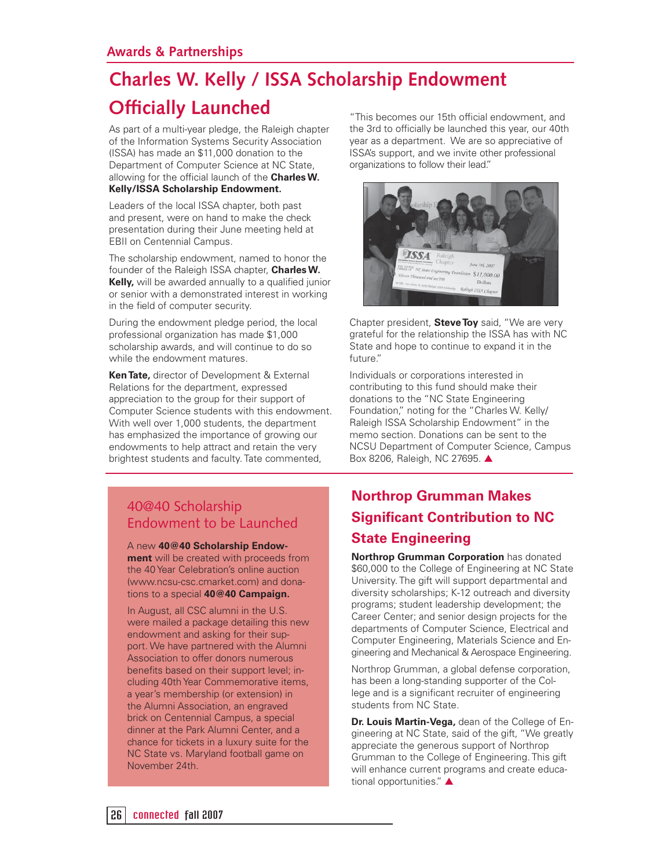## **Charles W. Kelly / ISSA Scholarship Endowment**

### **Officially Launched**

As part of a multi-year pledge, the Raleigh chapter of the Information Systems Security Association (ISSA) has made an \$11,000 donation to the Department of Computer Science at NC State, allowing for the official launch of the **Charles W. Kelly/ISSA Scholarship Endowment.** 

Leaders of the local ISSA chapter, both past and present, were on hand to make the check presentation during their June meeting held at EBII on Centennial Campus.

The scholarship endowment, named to honor the founder of the Raleigh ISSA chapter, **Charles W.**  Kelly, will be awarded annually to a qualified junior or senior with a demonstrated interest in working in the field of computer security.

During the endowment pledge period, the local professional organization has made \$1,000 scholarship awards, and will continue to do so while the endowment matures.

**Ken Tate,** director of Development & External Relations for the department, expressed appreciation to the group for their support of Computer Science students with this endowment. With well over 1,000 students, the department has emphasized the importance of growing our endowments to help attract and retain the very brightest students and faculty. Tate commented,

40@40 Scholarship Endowment to be Launched

A new **40@40 Scholarship Endowment** will be created with proceeds from the 40 Year Celebration's online auction (www.ncsu-csc.cmarket.com) and donations to a special **40@40 Campaign.**

In August, all CSC alumni in the U.S. were mailed a package detailing this new endowment and asking for their support. We have partnered with the Alumni Association to offer donors numerous benefits based on their support level; including 40th Year Commemorative items, a year's membership (or extension) in the Alumni Association, an engraved brick on Centennial Campus, a special dinner at the Park Alumni Center, and a chance for tickets in a luxury suite for the NC State vs. Maryland football game on November 24th.

"This becomes our 15th official endowment, and the 3rd to officially be launched this year, our 40th year as a department. We are so appreciative of ISSA's support, and we invite other professional organizations to follow their lead."



Chapter president, **Steve Toy** said, "We are very grateful for the relationship the ISSA has with NC State and hope to continue to expand it in the future."

Individuals or corporations interested in contributing to this fund should make their donations to the "NC State Engineering Foundation," noting for the "Charles W. Kelly/ Raleigh ISSA Scholarship Endowment" in the memo section. Donations can be sent to the NCSU Department of Computer Science, Campus Box 8206, Raleigh, NC 27695. ▲

### **Northrop Grumman Makes Significant Contribution to NC State Engineering**

**Northrop Grumman Corporation** has donated \$60,000 to the College of Engineering at NC State University. The gift will support departmental and diversity scholarships; K-12 outreach and diversity programs; student leadership development; the Career Center; and senior design projects for the departments of Computer Science, Electrical and Computer Engineering, Materials Science and Engineering and Mechanical & Aerospace Engineering.

Northrop Grumman, a global defense corporation, has been a long-standing supporter of the College and is a significant recruiter of engineering students from NC State.

**Dr. Louis Martin-Vega,** dean of the College of Engineering at NC State, said of the gift, "We greatly appreciate the generous support of Northrop Grumman to the College of Engineering. This gift will enhance current programs and create educational opportunities." ▲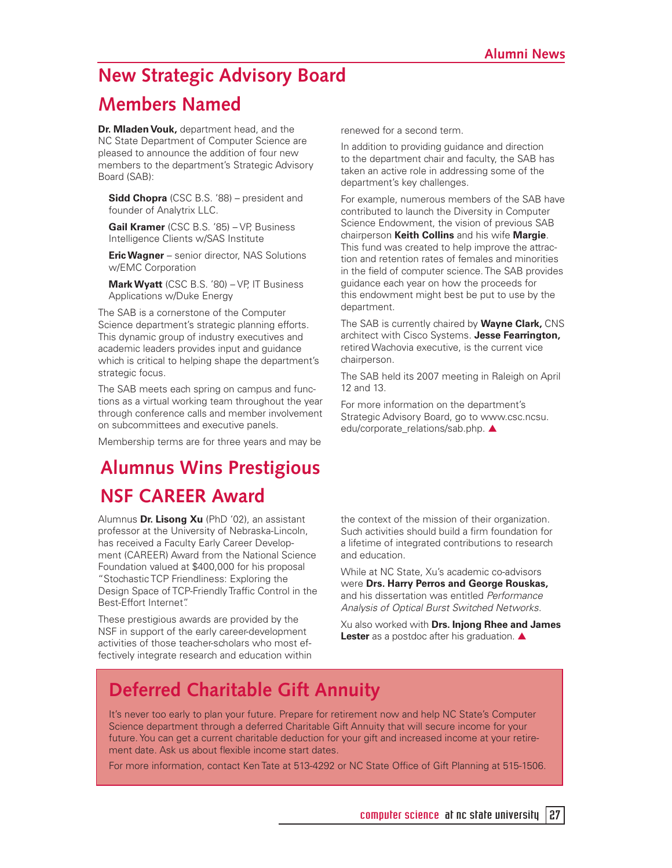## **New Strategic Advisory Board Members Named**

**Dr. Mladen Vouk,** department head, and the NC State Department of Computer Science are pleased to announce the addition of four new members to the department's Strategic Advisory Board (SAB):

**Sidd Chopra** (CSC B.S. '88) – president and founder of Analytrix LLC.

**Gail Kramer** (CSC B.S. '85) – VP, Business Intelligence Clients w/SAS Institute

**Eric Wagner** – senior director, NAS Solutions w/EMC Corporation

**Mark Wyatt** (CSC B.S. '80) – VP, IT Business Applications w/Duke Energy

The SAB is a cornerstone of the Computer Science department's strategic planning efforts. This dynamic group of industry executives and academic leaders provides input and guidance which is critical to helping shape the department's strategic focus.

The SAB meets each spring on campus and functions as a virtual working team throughout the year through conference calls and member involvement on subcommittees and executive panels.

Membership terms are for three years and may be

### **Alumnus Wins Prestigious NSF CAREER Award**

Alumnus **Dr. Lisong Xu** (PhD '02), an assistant professor at the University of Nebraska-Lincoln, has received a Faculty Early Career Development (CAREER) Award from the National Science Foundation valued at \$400,000 for his proposal "Stochastic TCP Friendliness: Exploring the Design Space of TCP-Friendly Traffic Control in the Best-Effort Internet".

These prestigious awards are provided by the NSF in support of the early career-development activities of those teacher-scholars who most effectively integrate research and education within renewed for a second term.

In addition to providing guidance and direction to the department chair and faculty, the SAB has taken an active role in addressing some of the department's key challenges.

For example, numerous members of the SAB have contributed to launch the Diversity in Computer Science Endowment, the vision of previous SAB chairperson **Keith Collins** and his wife **Margie**. This fund was created to help improve the attraction and retention rates of females and minorities in the field of computer science. The SAB provides guidance each year on how the proceeds for this endowment might best be put to use by the department.

The SAB is currently chaired by **Wayne Clark,** CNS architect with Cisco Systems. **Jesse Fearrington,** retired Wachovia executive, is the current vice chairperson.

The SAB held its 2007 meeting in Raleigh on April 12 and 13.

For more information on the department's Strategic Advisory Board, go to www.csc.ncsu. edu/corporate\_relations/sab.php. ▲

the context of the mission of their organization. Such activities should build a firm foundation for a lifetime of integrated contributions to research and education.

While at NC State, Xu's academic co-advisors were **Drs. Harry Perros and George Rouskas,**  and his dissertation was entitled Performance Analysis of Optical Burst Switched Networks.

Xu also worked with **Drs. Injong Rhee and James Lester** as a postdoc after his graduation. **▲** 

### **Deferred Charitable Gift Annuity**

It's never too early to plan your future. Prepare for retirement now and help NC State's Computer Science department through a deferred Charitable Gift Annuity that will secure income for your future. You can get a current charitable deduction for your gift and increased income at your retirement date. Ask us about flexible income start dates.

For more information, contact Ken Tate at 513-4292 or NC State Office of Gift Planning at 515-1506.

computer science  $\overline{a}$  at nc state university  $\overline{27}$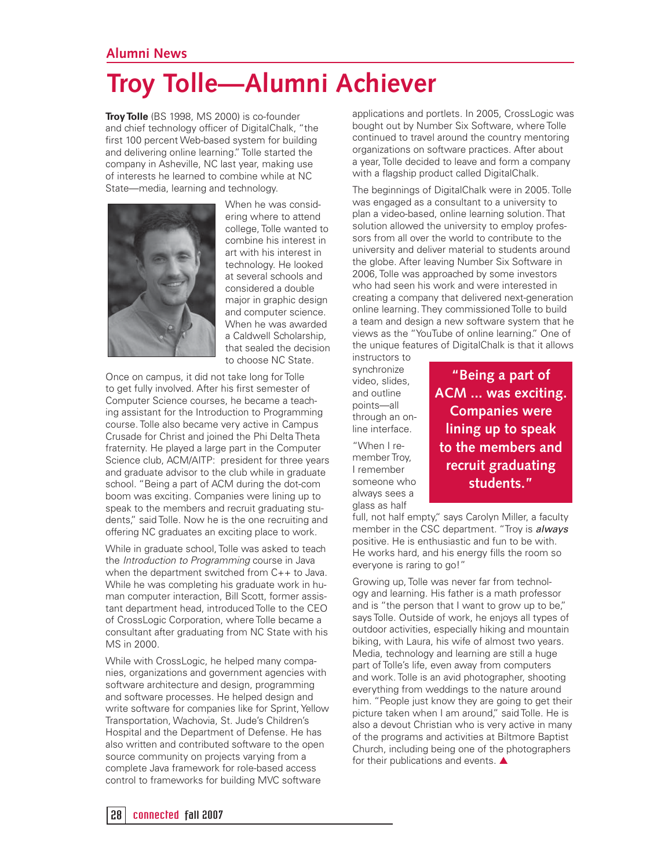#### **Alumni News**

# **Troy Tolle—Alumni Achiever**

**Troy Tolle** (BS 1998, MS 2000) is co-founder and chief technology officer of DigitalChalk, "the first 100 percent Web-based system for building and delivering online learning." Tolle started the company in Asheville, NC last year, making use of interests he learned to combine while at NC State—media, learning and technology.



When he was considering where to attend college, Tolle wanted to combine his interest in art with his interest in technology. He looked at several schools and considered a double major in graphic design and computer science. When he was awarded a Caldwell Scholarship, that sealed the decision to choose NC State.

Once on campus, it did not take long for Tolle to get fully involved. After his first semester of Computer Science courses, he became a teaching assistant for the Introduction to Programming course. Tolle also became very active in Campus Crusade for Christ and joined the Phi Delta Theta fraternity. He played a large part in the Computer Science club, ACM/AITP: president for three years and graduate advisor to the club while in graduate school. "Being a part of ACM during the dot-com boom was exciting. Companies were lining up to speak to the members and recruit graduating students," said Tolle. Now he is the one recruiting and offering NC graduates an exciting place to work.

While in graduate school, Tolle was asked to teach the Introduction to Programming course in Java when the department switched from C++ to Java. While he was completing his graduate work in human computer interaction, Bill Scott, former assistant department head, introduced Tolle to the CEO of CrossLogic Corporation, where Tolle became a consultant after graduating from NC State with his MS in 2000.

While with CrossLogic, he helped many companies, organizations and government agencies with software architecture and design, programming and software processes. He helped design and write software for companies like for Sprint, Yellow Transportation, Wachovia, St. Jude's Children's Hospital and the Department of Defense. He has also written and contributed software to the open source community on projects varying from a complete Java framework for role-based access control to frameworks for building MVC software

applications and portlets. In 2005, CrossLogic was bought out by Number Six Software, where Tolle continued to travel around the country mentoring organizations on software practices. After about a year, Tolle decided to leave and form a company with a flagship product called DigitalChalk.

The beginnings of DigitalChalk were in 2005. Tolle was engaged as a consultant to a university to plan a video-based, online learning solution. That solution allowed the university to employ professors from all over the world to contribute to the university and deliver material to students around the globe. After leaving Number Six Software in 2006, Tolle was approached by some investors who had seen his work and were interested in creating a company that delivered next-generation online learning. They commissioned Tolle to build a team and design a new software system that he views as the "YouTube of online learning." One of the unique features of DigitalChalk is that it allows instructors to

synchronize video, slides, and outline points—all through an online interface.

"When I remember Troy, I remember someone who always sees a glass as half

**"Being a part of ACM ... was exciting. Companies were lining up to speak to the members and recruit graduating students."**

full, not half empty," says Carolyn Miller, a faculty member in the CSC department. "Troy is *always* positive. He is enthusiastic and fun to be with. He works hard, and his energy fills the room so everyone is raring to go!"

Growing up, Tolle was never far from technology and learning. His father is a math professor and is "the person that I want to grow up to be," says Tolle. Outside of work, he enjoys all types of outdoor activities, especially hiking and mountain biking, with Laura, his wife of almost two years. Media, technology and learning are still a huge part of Tolle's life, even away from computers and work. Tolle is an avid photographer, shooting everything from weddings to the nature around him. "People just know they are going to get their picture taken when I am around," said Tolle. He is also a devout Christian who is very active in many of the programs and activities at Biltmore Baptist Church, including being one of the photographers for their publications and events. **▲**